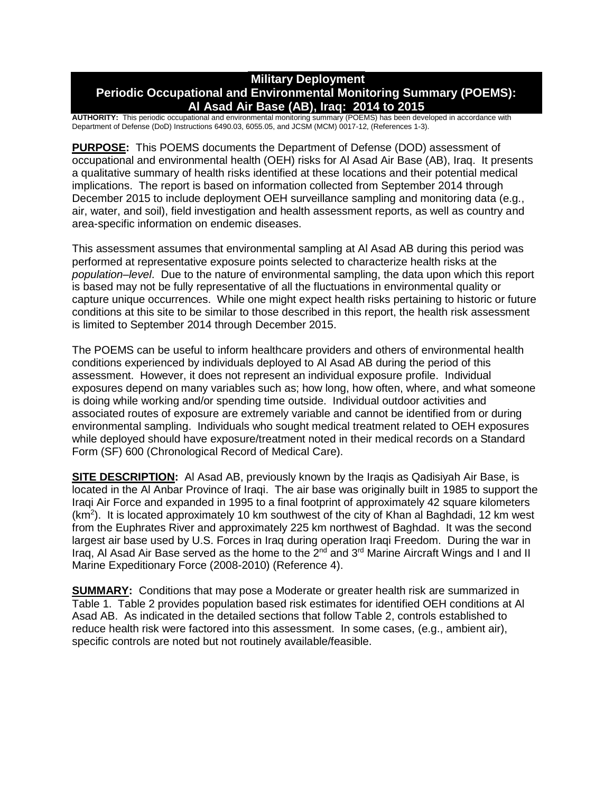# **Military Deployment Periodic Occupational and Environmental Monitoring Summary (POEMS): Al Asad Air Base (AB), Iraq: 2014 to 2015**

**AUTHORITY:** This periodic occupational and environmental monitoring summary (POEMS) has been developed in accordance with Department of Defense (DoD) Instructions 6490.03, 6055.05, and JCSM (MCM) 0017-12, (References 1-3).

**PURPOSE:** This POEMS documents the Department of Defense (DOD) assessment of occupational and environmental health (OEH) risks for Al Asad Air Base (AB), Iraq. It presents a qualitative summary of health risks identified at these locations and their potential medical implications. The report is based on information collected from September 2014 through December 2015 to include deployment OEH surveillance sampling and monitoring data (e.g., air, water, and soil), field investigation and health assessment reports, as well as country and area-specific information on endemic diseases.

This assessment assumes that environmental sampling at Al Asad AB during this period was performed at representative exposure points selected to characterize health risks at the *population–level*. Due to the nature of environmental sampling, the data upon which this report is based may not be fully representative of all the fluctuations in environmental quality or capture unique occurrences. While one might expect health risks pertaining to historic or future conditions at this site to be similar to those described in this report, the health risk assessment is limited to September 2014 through December 2015.

The POEMS can be useful to inform healthcare providers and others of environmental health conditions experienced by individuals deployed to Al Asad AB during the period of this assessment. However, it does not represent an individual exposure profile. Individual exposures depend on many variables such as; how long, how often, where, and what someone is doing while working and/or spending time outside. Individual outdoor activities and associated routes of exposure are extremely variable and cannot be identified from or during environmental sampling. Individuals who sought medical treatment related to OEH exposures while deployed should have exposure/treatment noted in their medical records on a Standard Form (SF) 600 (Chronological Record of Medical Care).

**SITE DESCRIPTION:** Al Asad AB, previously known by the Iraqis as Qadisiyah Air Base, is located in the Al Anbar Province of Iraqi. The air base was originally built in 1985 to support the Iraqi Air Force and expanded in 1995 to a final footprint of approximately 42 square kilometers  $(km<sup>2</sup>)$ . It is located approximately 10 km southwest of the city of Khan al Baghdadi, 12 km west from the Euphrates River and approximately 225 km northwest of Baghdad. It was the second largest air base used by U.S. Forces in Iraq during operation Iraqi Freedom. During the war in Iraq, AI Asad Air Base served as the home to the 2<sup>nd</sup> and 3<sup>rd</sup> Marine Aircraft Wings and I and II Marine Expeditionary Force (2008-2010) (Reference 4).

**SUMMARY:** Conditions that may pose a Moderate or greater health risk are summarized in Table 1. Table 2 provides population based risk estimates for identified OEH conditions at Al Asad AB. As indicated in the detailed sections that follow Table 2, controls established to reduce health risk were factored into this assessment. In some cases, (e.g., ambient air), specific controls are noted but not routinely available/feasible.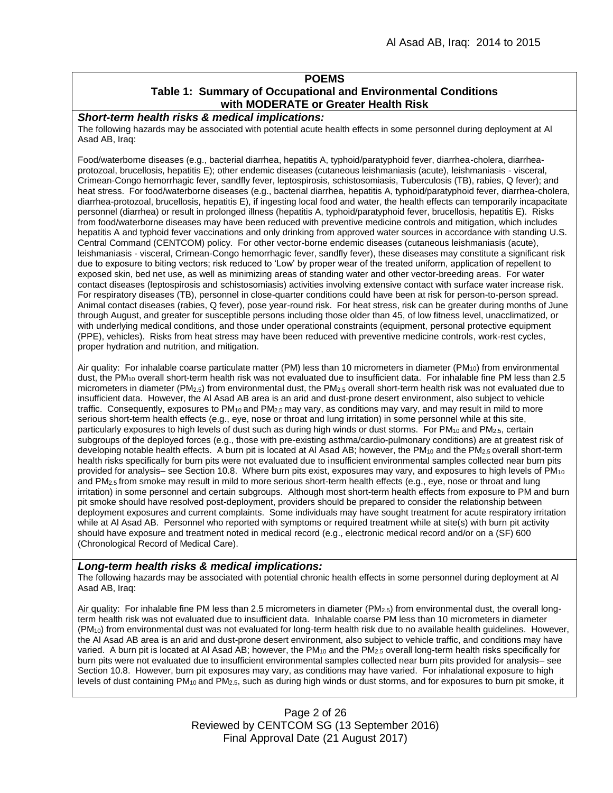### **POEMS**

# **Table 1: Summary of Occupational and Environmental Conditions with MODERATE or Greater Health Risk**

## *Short-term health risks & medical implications:*

The following hazards may be associated with potential acute health effects in some personnel during deployment at Al Asad AB, Iraq:

Food/waterborne diseases (e.g., bacterial diarrhea, hepatitis A, typhoid/paratyphoid fever, diarrhea-cholera, diarrheaprotozoal, brucellosis, hepatitis E); other endemic diseases (cutaneous leishmaniasis (acute), leishmaniasis - visceral, Crimean-Congo hemorrhagic fever, sandfly fever, leptospirosis, schistosomiasis, Tuberculosis (TB), rabies, Q fever); and heat stress. For food/waterborne diseases (e.g., bacterial diarrhea, hepatitis A, typhoid/paratyphoid fever, diarrhea-cholera, diarrhea-protozoal, brucellosis, hepatitis E), if ingesting local food and water, the health effects can temporarily incapacitate personnel (diarrhea) or result in prolonged illness (hepatitis A, typhoid/paratyphoid fever, brucellosis, hepatitis E). Risks from food/waterborne diseases may have been reduced with preventive medicine controls and mitigation, which includes hepatitis A and typhoid fever vaccinations and only drinking from approved water sources in accordance with standing U.S. Central Command (CENTCOM) policy. For other vector-borne endemic diseases (cutaneous leishmaniasis (acute), leishmaniasis - visceral, Crimean-Congo hemorrhagic fever, sandfly fever), these diseases may constitute a significant risk due to exposure to biting vectors; risk reduced to 'Low' by proper wear of the treated uniform, application of repellent to exposed skin, bed net use, as well as minimizing areas of standing water and other vector-breeding areas. For water contact diseases (leptospirosis and schistosomiasis) activities involving extensive contact with surface water increase risk. For respiratory diseases (TB), personnel in close-quarter conditions could have been at risk for person-to-person spread. Animal contact diseases (rabies, Q fever), pose year-round risk. For heat stress, risk can be greater during months of June through August, and greater for susceptible persons including those older than 45, of low fitness level, unacclimatized, or with underlying medical conditions, and those under operational constraints (equipment, personal protective equipment (PPE), vehicles). Risks from heat stress may have been reduced with preventive medicine controls, work-rest cycles, proper hydration and nutrition, and mitigation.

Air quality: For inhalable coarse particulate matter (PM) less than 10 micrometers in diameter (PM<sub>10</sub>) from environmental dust, the PM<sub>10</sub> overall short-term health risk was not evaluated due to insufficient data. For inhalable fine PM less than 2.5 micrometers in diameter (PM2.5) from environmental dust, the PM2.5 overall short-term health risk was not evaluated due to insufficient data. However, the Al Asad AB area is an arid and dust-prone desert environment, also subject to vehicle traffic. Consequently, exposures to  $PM_{10}$  and  $PM_{2.5}$  may vary, as conditions may vary, and may result in mild to more serious short-term health effects (e.g., eye, nose or throat and lung irritation) in some personnel while at this site, particularly exposures to high levels of dust such as during high winds or dust storms. For PM<sub>10</sub> and PM<sub>2.5</sub>, certain subgroups of the deployed forces (e.g., those with pre-existing asthma/cardio-pulmonary conditions) are at greatest risk of developing notable health effects. A burn pit is located at Al Asad AB; however, the PM<sub>10</sub> and the PM<sub>2.5</sub> overall short-term health risks specifically for burn pits were not evaluated due to insufficient environmental samples collected near burn pits provided for analysis– see Section 10.8. Where burn pits exist, exposures may vary, and exposures to high levels of PM<sub>10</sub> and PM<sub>2.5</sub> from smoke may result in mild to more serious short-term health effects (e.g., eye, nose or throat and lung irritation) in some personnel and certain subgroups. Although most short-term health effects from exposure to PM and burn pit smoke should have resolved post-deployment, providers should be prepared to consider the relationship between deployment exposures and current complaints. Some individuals may have sought treatment for acute respiratory irritation while at AI Asad AB. Personnel who reported with symptoms or required treatment while at site(s) with burn pit activity should have exposure and treatment noted in medical record (e.g., electronic medical record and/or on a (SF) 600 (Chronological Record of Medical Care).

### *Long-term health risks & medical implications:*

The following hazards may be associated with potential chronic health effects in some personnel during deployment at Al Asad AB, Iraq:

Air quality: For inhalable fine PM less than 2.5 micrometers in diameter ( $PM_{2.5}$ ) from environmental dust, the overall longterm health risk was not evaluated due to insufficient data. Inhalable coarse PM less than 10 micrometers in diameter (PM10) from environmental dust was not evaluated for long-term health risk due to no available health guidelines. However, the Al Asad AB area is an arid and dust-prone desert environment, also subject to vehicle traffic, and conditions may have varied. A burn pit is located at Al Asad AB; however, the PM<sub>10</sub> and the PM<sub>2.5</sub> overall long-term health risks specifically for burn pits were not evaluated due to insufficient environmental samples collected near burn pits provided for analysis– see Section 10.8. However, burn pit exposures may vary, as conditions may have varied. For inhalational exposure to high levels of dust containing PM10 and PM2.5, such as during high winds or dust storms, and for exposures to burn pit smoke, it

> Page 2 of 26 Reviewed by CENTCOM SG (13 September 2016) Final Approval Date (21 August 2017)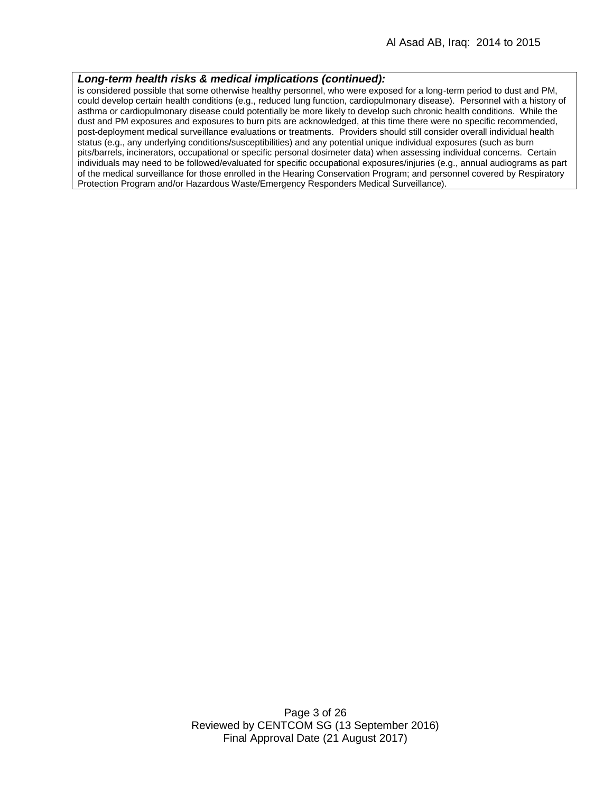#### *Long-term health risks & medical implications (continued):*

is considered possible that some otherwise healthy personnel, who were exposed for a long-term period to dust and PM, could develop certain health conditions (e.g., reduced lung function, cardiopulmonary disease). Personnel with a history of asthma or cardiopulmonary disease could potentially be more likely to develop such chronic health conditions. While the dust and PM exposures and exposures to burn pits are acknowledged, at this time there were no specific recommended, post-deployment medical surveillance evaluations or treatments. Providers should still consider overall individual health status (e.g., any underlying conditions/susceptibilities) and any potential unique individual exposures (such as burn pits/barrels, incinerators, occupational or specific personal dosimeter data) when assessing individual concerns. Certain individuals may need to be followed/evaluated for specific occupational exposures/injuries (e.g., annual audiograms as part of the medical surveillance for those enrolled in the Hearing Conservation Program; and personnel covered by Respiratory Protection Program and/or Hazardous Waste/Emergency Responders Medical Surveillance).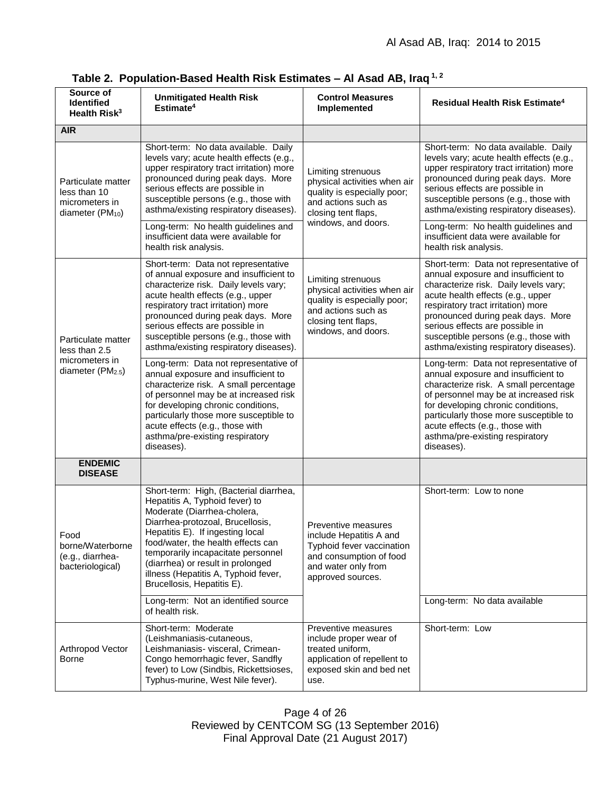| Source of<br><b>Identified</b><br>Health Risk <sup>3</sup>                             | <b>Unmitigated Health Risk</b><br>Estimate <sup>4</sup>                                                                                                                                                                                                                                                                                                                                         | <b>Control Measures</b><br>Implemented                                                                                                                 | <b>Residual Health Risk Estimate<sup>4</sup></b>                                                                                                                                                                                                                                                                                                                                                |
|----------------------------------------------------------------------------------------|-------------------------------------------------------------------------------------------------------------------------------------------------------------------------------------------------------------------------------------------------------------------------------------------------------------------------------------------------------------------------------------------------|--------------------------------------------------------------------------------------------------------------------------------------------------------|-------------------------------------------------------------------------------------------------------------------------------------------------------------------------------------------------------------------------------------------------------------------------------------------------------------------------------------------------------------------------------------------------|
| <b>AIR</b>                                                                             |                                                                                                                                                                                                                                                                                                                                                                                                 |                                                                                                                                                        |                                                                                                                                                                                                                                                                                                                                                                                                 |
| Particulate matter<br>less than 10<br>micrometers in<br>diameter (PM <sub>10</sub> )   | Short-term: No data available. Daily<br>levels vary; acute health effects (e.g.,<br>upper respiratory tract irritation) more<br>pronounced during peak days. More<br>serious effects are possible in<br>susceptible persons (e.g., those with<br>asthma/existing respiratory diseases).<br>Long-term: No health guidelines and<br>insufficient data were available for<br>health risk analysis. | Limiting strenuous<br>physical activities when air<br>quality is especially poor;<br>and actions such as<br>closing tent flaps,<br>windows, and doors. | Short-term: No data available. Daily<br>levels vary; acute health effects (e.g.,<br>upper respiratory tract irritation) more<br>pronounced during peak days. More<br>serious effects are possible in<br>susceptible persons (e.g., those with<br>asthma/existing respiratory diseases).<br>Long-term: No health guidelines and<br>insufficient data were available for<br>health risk analysis. |
| Particulate matter<br>less than 2.5<br>micrometers in<br>diameter (PM <sub>2.5</sub> ) | Short-term: Data not representative<br>of annual exposure and insufficient to<br>characterize risk. Daily levels vary;<br>acute health effects (e.g., upper<br>respiratory tract irritation) more<br>pronounced during peak days. More<br>serious effects are possible in<br>susceptible persons (e.g., those with<br>asthma/existing respiratory diseases).                                    | Limiting strenuous<br>physical activities when air<br>quality is especially poor;<br>and actions such as<br>closing tent flaps,<br>windows, and doors. | Short-term: Data not representative of<br>annual exposure and insufficient to<br>characterize risk. Daily levels vary;<br>acute health effects (e.g., upper<br>respiratory tract irritation) more<br>pronounced during peak days. More<br>serious effects are possible in<br>susceptible persons (e.g., those with<br>asthma/existing respiratory diseases).                                    |
|                                                                                        | Long-term: Data not representative of<br>annual exposure and insufficient to<br>characterize risk. A small percentage<br>of personnel may be at increased risk<br>for developing chronic conditions,<br>particularly those more susceptible to<br>acute effects (e.g., those with<br>asthma/pre-existing respiratory<br>diseases).                                                              |                                                                                                                                                        | Long-term: Data not representative of<br>annual exposure and insufficient to<br>characterize risk. A small percentage<br>of personnel may be at increased risk<br>for developing chronic conditions,<br>particularly those more susceptible to<br>acute effects (e.g., those with<br>asthma/pre-existing respiratory<br>diseases).                                                              |
| <b>ENDEMIC</b><br><b>DISEASE</b>                                                       |                                                                                                                                                                                                                                                                                                                                                                                                 |                                                                                                                                                        |                                                                                                                                                                                                                                                                                                                                                                                                 |
| Food<br>borne/Waterborne<br>(e.g., diarrhea-<br>bacteriological)                       | Short-term: High, (Bacterial diarrhea,<br>Hepatitis A, Typhoid fever) to<br>Moderate (Diarrhea-cholera,<br>Diarrhea-protozoal, Brucellosis,<br>Hepatitis E). If ingesting local<br>food/water, the health effects can<br>temporarily incapacitate personnel<br>(diarrhea) or result in prolonged<br>illness (Hepatitis A, Typhoid fever,<br>Brucellosis, Hepatitis E).                          | Preventive measures<br>include Hepatitis A and<br>Typhoid fever vaccination<br>and consumption of food<br>and water only from<br>approved sources.     | Short-term: Low to none<br>Long-term: No data available                                                                                                                                                                                                                                                                                                                                         |
|                                                                                        | Long-term: Not an identified source<br>of health risk.                                                                                                                                                                                                                                                                                                                                          |                                                                                                                                                        |                                                                                                                                                                                                                                                                                                                                                                                                 |
| Arthropod Vector<br><b>Borne</b>                                                       | Short-term: Moderate<br>(Leishmaniasis-cutaneous,<br>Leishmaniasis- visceral, Crimean-<br>Congo hemorrhagic fever, Sandfly<br>fever) to Low (Sindbis, Rickettsioses,<br>Typhus-murine, West Nile fever).                                                                                                                                                                                        | Preventive measures<br>include proper wear of<br>treated uniform,<br>application of repellent to<br>exposed skin and bed net<br>use.                   | Short-term: Low                                                                                                                                                                                                                                                                                                                                                                                 |

**Table 2. Population-Based Health Risk Estimates – Al Asad AB, Iraq 1, 2**

Page 4 of 26 Reviewed by CENTCOM SG (13 September 2016) Final Approval Date (21 August 2017)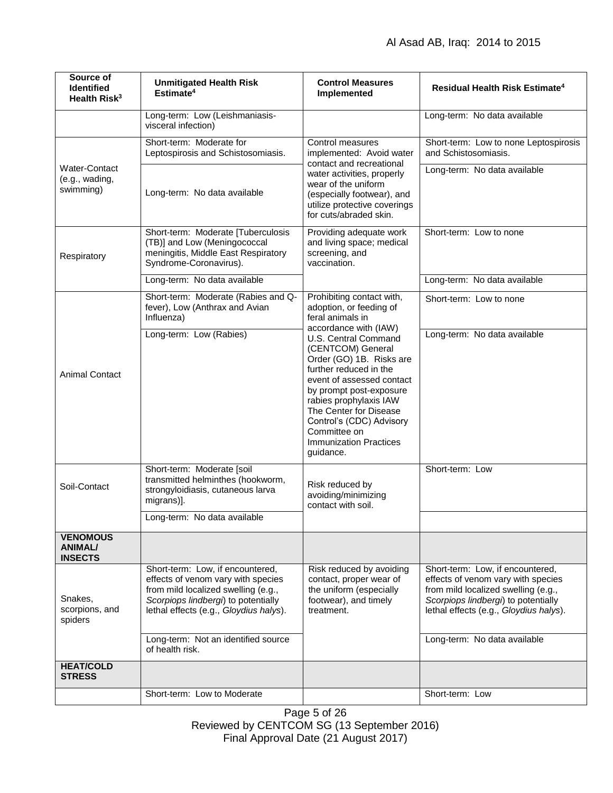| Source of<br><b>Identified</b><br>Health Risk <sup>3</sup> | <b>Unmitigated Health Risk</b><br>Estimate <sup>4</sup>                                                                                                                                                                               | <b>Control Measures</b><br>Implemented                                                                                                                                                                                                                                                                                                                                                                     | Residual Health Risk Estimate <sup>4</sup>                                                                                                                                                                                     |
|------------------------------------------------------------|---------------------------------------------------------------------------------------------------------------------------------------------------------------------------------------------------------------------------------------|------------------------------------------------------------------------------------------------------------------------------------------------------------------------------------------------------------------------------------------------------------------------------------------------------------------------------------------------------------------------------------------------------------|--------------------------------------------------------------------------------------------------------------------------------------------------------------------------------------------------------------------------------|
|                                                            | Long-term: Low (Leishmaniasis-<br>visceral infection)                                                                                                                                                                                 |                                                                                                                                                                                                                                                                                                                                                                                                            | Long-term: No data available                                                                                                                                                                                                   |
| <b>Water-Contact</b><br>(e.g., wading,<br>swimming)        | Short-term: Moderate for<br>Leptospirosis and Schistosomiasis.                                                                                                                                                                        | Control measures<br>implemented: Avoid water<br>contact and recreational<br>water activities, properly<br>wear of the uniform<br>(especially footwear), and<br>utilize protective coverings<br>for cuts/abraded skin.                                                                                                                                                                                      | Short-term: Low to none Leptospirosis<br>and Schistosomiasis.                                                                                                                                                                  |
|                                                            | Long-term: No data available                                                                                                                                                                                                          |                                                                                                                                                                                                                                                                                                                                                                                                            | Long-term: No data available                                                                                                                                                                                                   |
| Respiratory                                                | Short-term: Moderate [Tuberculosis<br>(TB)] and Low (Meningococcal<br>meningitis, Middle East Respiratory<br>Syndrome-Coronavirus).                                                                                                   | Providing adequate work<br>and living space; medical<br>screening, and<br>vaccination.                                                                                                                                                                                                                                                                                                                     | Short-term: Low to none                                                                                                                                                                                                        |
|                                                            | Long-term: No data available                                                                                                                                                                                                          |                                                                                                                                                                                                                                                                                                                                                                                                            | Long-term: No data available                                                                                                                                                                                                   |
| <b>Animal Contact</b>                                      | Short-term: Moderate (Rabies and Q-<br>fever), Low (Anthrax and Avian<br>Influenza)                                                                                                                                                   | Prohibiting contact with,<br>adoption, or feeding of<br>feral animals in<br>accordance with (IAW)<br>U.S. Central Command<br>(CENTCOM) General<br>Order (GO) 1B. Risks are<br>further reduced in the<br>event of assessed contact<br>by prompt post-exposure<br>rabies prophylaxis IAW<br>The Center for Disease<br>Control's (CDC) Advisory<br>Committee on<br><b>Immunization Practices</b><br>guidance. | Short-term: Low to none                                                                                                                                                                                                        |
|                                                            | Long-term: Low (Rabies)                                                                                                                                                                                                               |                                                                                                                                                                                                                                                                                                                                                                                                            | Long-term: No data available                                                                                                                                                                                                   |
| Soil-Contact                                               | Short-term: Moderate [soil<br>transmitted helminthes (hookworm,<br>strongyloidiasis, cutaneous larva<br>migrans)].                                                                                                                    | Risk reduced by<br>avoiding/minimizing<br>contact with soil.                                                                                                                                                                                                                                                                                                                                               | Short-term: Low                                                                                                                                                                                                                |
|                                                            | Long-term: No data available                                                                                                                                                                                                          |                                                                                                                                                                                                                                                                                                                                                                                                            |                                                                                                                                                                                                                                |
| <b>VENOMOUS</b><br><b>ANIMAL/</b><br><b>INSECTS</b>        |                                                                                                                                                                                                                                       |                                                                                                                                                                                                                                                                                                                                                                                                            |                                                                                                                                                                                                                                |
| Snakes,<br>scorpions, and<br>spiders                       | Short-term: Low, if encountered,<br>effects of venom vary with species<br>from mild localized swelling (e.g.,<br>Scorpiops lindbergi) to potentially<br>lethal effects (e.g., Gloydius halys).<br>Long-term: Not an identified source | Risk reduced by avoiding<br>contact, proper wear of<br>the uniform (especially<br>footwear), and timely<br>treatment.                                                                                                                                                                                                                                                                                      | Short-term: Low, if encountered,<br>effects of venom vary with species<br>from mild localized swelling (e.g.,<br>Scorpiops lindbergi) to potentially<br>lethal effects (e.g., Gloydius halys).<br>Long-term: No data available |
|                                                            | of health risk.                                                                                                                                                                                                                       |                                                                                                                                                                                                                                                                                                                                                                                                            |                                                                                                                                                                                                                                |
| <b>HEAT/COLD</b><br><b>STRESS</b>                          |                                                                                                                                                                                                                                       |                                                                                                                                                                                                                                                                                                                                                                                                            |                                                                                                                                                                                                                                |
|                                                            | Short-term: Low to Moderate                                                                                                                                                                                                           |                                                                                                                                                                                                                                                                                                                                                                                                            | Short-term: Low                                                                                                                                                                                                                |

Page 5 of 26 Reviewed by CENTCOM SG (13 September 2016) Final Approval Date (21 August 2017)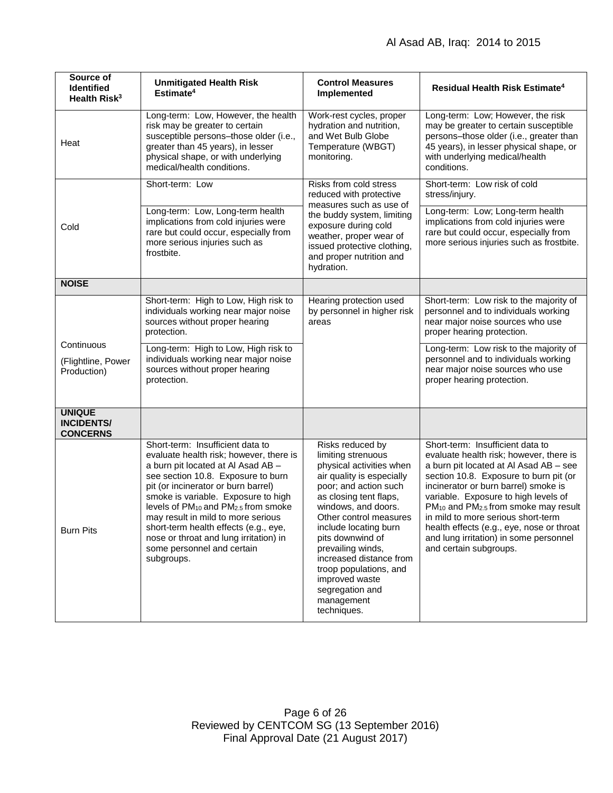| Source of<br><b>Identified</b><br>Health Risk <sup>3</sup> | <b>Unmitigated Health Risk</b><br>Estimate <sup>4</sup>                                                                                                                                                                                                                                                                                                                                                                                                                   | <b>Control Measures</b><br>Implemented                                                                                                                                                                                                                                                                                                                                                       | <b>Residual Health Risk Estimate<sup>4</sup></b>                                                                                                                                                                                                                                                                                                                                                                                                                       |
|------------------------------------------------------------|---------------------------------------------------------------------------------------------------------------------------------------------------------------------------------------------------------------------------------------------------------------------------------------------------------------------------------------------------------------------------------------------------------------------------------------------------------------------------|----------------------------------------------------------------------------------------------------------------------------------------------------------------------------------------------------------------------------------------------------------------------------------------------------------------------------------------------------------------------------------------------|------------------------------------------------------------------------------------------------------------------------------------------------------------------------------------------------------------------------------------------------------------------------------------------------------------------------------------------------------------------------------------------------------------------------------------------------------------------------|
| Heat                                                       | Long-term: Low, However, the health<br>risk may be greater to certain<br>susceptible persons-those older (i.e.,<br>greater than 45 years), in lesser<br>physical shape, or with underlying<br>medical/health conditions.                                                                                                                                                                                                                                                  | Work-rest cycles, proper<br>hydration and nutrition,<br>and Wet Bulb Globe<br>Temperature (WBGT)<br>monitoring.                                                                                                                                                                                                                                                                              | Long-term: Low; However, the risk<br>may be greater to certain susceptible<br>persons-those older (i.e., greater than<br>45 years), in lesser physical shape, or<br>with underlying medical/health<br>conditions.                                                                                                                                                                                                                                                      |
|                                                            | Short-term: Low                                                                                                                                                                                                                                                                                                                                                                                                                                                           | Risks from cold stress<br>reduced with protective                                                                                                                                                                                                                                                                                                                                            | Short-term: Low risk of cold<br>stress/injury.                                                                                                                                                                                                                                                                                                                                                                                                                         |
| Cold                                                       | Long-term: Low, Long-term health<br>implications from cold injuries were<br>rare but could occur, especially from<br>more serious injuries such as<br>frostbite.                                                                                                                                                                                                                                                                                                          | measures such as use of<br>the buddy system, limiting<br>exposure during cold<br>weather, proper wear of<br>issued protective clothing,<br>and proper nutrition and<br>hydration.                                                                                                                                                                                                            | Long-term: Low; Long-term health<br>implications from cold injuries were<br>rare but could occur, especially from<br>more serious injuries such as frostbite.                                                                                                                                                                                                                                                                                                          |
| <b>NOISE</b>                                               |                                                                                                                                                                                                                                                                                                                                                                                                                                                                           |                                                                                                                                                                                                                                                                                                                                                                                              |                                                                                                                                                                                                                                                                                                                                                                                                                                                                        |
|                                                            | Short-term: High to Low, High risk to<br>individuals working near major noise<br>sources without proper hearing<br>protection.                                                                                                                                                                                                                                                                                                                                            | Hearing protection used<br>by personnel in higher risk<br>areas                                                                                                                                                                                                                                                                                                                              | Short-term: Low risk to the majority of<br>personnel and to individuals working<br>near major noise sources who use<br>proper hearing protection.                                                                                                                                                                                                                                                                                                                      |
| Continuous<br>(Flightline, Power<br>Production)            | Long-term: High to Low, High risk to<br>individuals working near major noise<br>sources without proper hearing<br>protection.                                                                                                                                                                                                                                                                                                                                             |                                                                                                                                                                                                                                                                                                                                                                                              | Long-term: Low risk to the majority of<br>personnel and to individuals working<br>near major noise sources who use<br>proper hearing protection.                                                                                                                                                                                                                                                                                                                       |
| <b>UNIQUE</b><br><b>INCIDENTS/</b><br><b>CONCERNS</b>      |                                                                                                                                                                                                                                                                                                                                                                                                                                                                           |                                                                                                                                                                                                                                                                                                                                                                                              |                                                                                                                                                                                                                                                                                                                                                                                                                                                                        |
| <b>Burn Pits</b>                                           | Short-term: Insufficient data to<br>evaluate health risk; however, there is<br>a burn pit located at Al Asad AB -<br>see section 10.8. Exposure to burn<br>pit (or incinerator or burn barrel)<br>smoke is variable. Exposure to high<br>levels of PM <sub>10</sub> and PM <sub>2.5</sub> from smoke<br>may result in mild to more serious<br>short-term health effects (e.g., eye,<br>nose or throat and lung irritation) in<br>some personnel and certain<br>subgroups. | Risks reduced by<br>limiting strenuous<br>physical activities when<br>air quality is especially<br>poor; and action such<br>as closing tent flaps,<br>windows, and doors.<br>Other control measures<br>include locating burn<br>pits downwind of<br>prevailing winds,<br>increased distance from<br>troop populations, and<br>improved waste<br>segregation and<br>management<br>techniques. | Short-term: Insufficient data to<br>evaluate health risk; however, there is<br>a burn pit located at Al Asad AB - see<br>section 10.8. Exposure to burn pit (or<br>incinerator or burn barrel) smoke is<br>variable. Exposure to high levels of<br>PM <sub>10</sub> and PM <sub>2.5</sub> from smoke may result<br>in mild to more serious short-term<br>health effects (e.g., eye, nose or throat<br>and lung irritation) in some personnel<br>and certain subgroups. |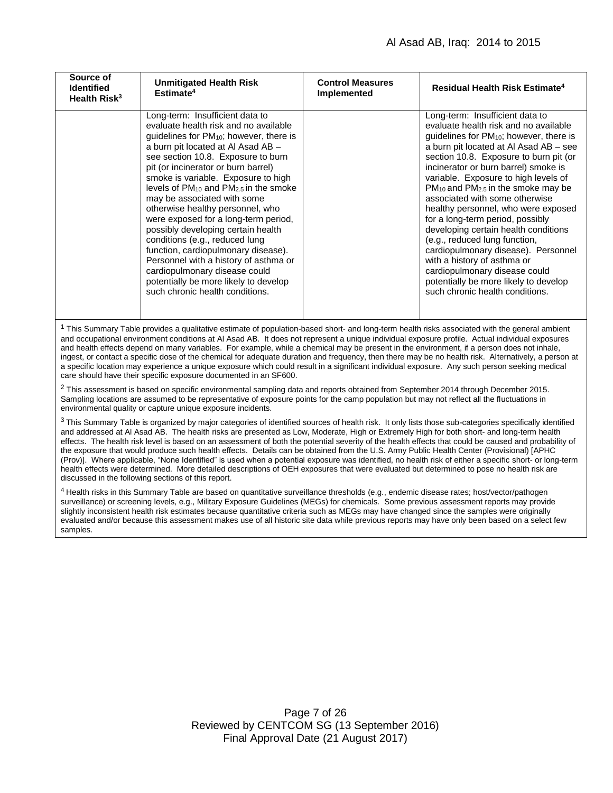| Source of<br><b>Identified</b><br>Health Risk <sup>3</sup> | <b>Unmitigated Health Risk</b><br>Estimate <sup>4</sup>                                                                                                                                                                                                                                                                                                                                                                                                                                                                                                                                                                                                                                                                                    | <b>Control Measures</b><br>Implemented | <b>Residual Health Risk Estimate<sup>4</sup></b>                                                                                                                                                                                                                                                                                                                                                                                                                                                                                                                                                                                                                                                                                           |
|------------------------------------------------------------|--------------------------------------------------------------------------------------------------------------------------------------------------------------------------------------------------------------------------------------------------------------------------------------------------------------------------------------------------------------------------------------------------------------------------------------------------------------------------------------------------------------------------------------------------------------------------------------------------------------------------------------------------------------------------------------------------------------------------------------------|----------------------------------------|--------------------------------------------------------------------------------------------------------------------------------------------------------------------------------------------------------------------------------------------------------------------------------------------------------------------------------------------------------------------------------------------------------------------------------------------------------------------------------------------------------------------------------------------------------------------------------------------------------------------------------------------------------------------------------------------------------------------------------------------|
|                                                            | Long-term: Insufficient data to<br>evaluate health risk and no available<br>guidelines for PM <sub>10</sub> ; however, there is<br>a burn pit located at Al Asad AB -<br>see section 10.8. Exposure to burn<br>pit (or incinerator or burn barrel)<br>smoke is variable. Exposure to high<br>levels of PM <sub>10</sub> and PM <sub>2.5</sub> in the smoke<br>may be associated with some<br>otherwise healthy personnel, who<br>were exposed for a long-term period,<br>possibly developing certain health<br>conditions (e.g., reduced lung<br>function, cardiopulmonary disease).<br>Personnel with a history of asthma or<br>cardiopulmonary disease could<br>potentially be more likely to develop<br>such chronic health conditions. |                                        | Long-term: Insufficient data to<br>evaluate health risk and no available<br>guidelines for PM <sub>10</sub> ; however, there is<br>a burn pit located at Al Asad AB - see<br>section 10.8. Exposure to burn pit (or<br>incinerator or burn barrel) smoke is<br>variable. Exposure to high levels of<br>PM <sub>10</sub> and PM <sub>2.5</sub> in the smoke may be<br>associated with some otherwise<br>healthy personnel, who were exposed<br>for a long-term period, possibly<br>developing certain health conditions<br>(e.g., reduced lung function,<br>cardiopulmonary disease). Personnel<br>with a history of asthma or<br>cardiopulmonary disease could<br>potentially be more likely to develop<br>such chronic health conditions. |

 $1$  This Summary Table provides a qualitative estimate of population-based short- and long-term health risks associated with the general ambient and occupational environment conditions at Al Asad AB. It does not represent a unique individual exposure profile. Actual individual exposures and health effects depend on many variables. For example, while a chemical may be present in the environment, if a person does not inhale, ingest, or contact a specific dose of the chemical for adequate duration and frequency, then there may be no health risk. Alternatively, a person at a specific location may experience a unique exposure which could result in a significant individual exposure. Any such person seeking medical care should have their specific exposure documented in an SF600.

 $2$  This assessment is based on specific environmental sampling data and reports obtained from September 2014 through December 2015. Sampling locations are assumed to be representative of exposure points for the camp population but may not reflect all the fluctuations in environmental quality or capture unique exposure incidents.

<sup>3</sup> This Summary Table is organized by major categories of identified sources of health risk. It only lists those sub-categories specifically identified and addressed at Al Asad AB. The health risks are presented as Low, Moderate, High or Extremely High for both short- and long-term health effects. The health risk level is based on an assessment of both the potential severity of the health effects that could be caused and probability of the exposure that would produce such health effects. Details can be obtained from the U.S. Army Public Health Center (Provisional) [APHC (Prov)]. Where applicable, "None Identified" is used when a potential exposure was identified, no health risk of either a specific short- or long-term health effects were determined. More detailed descriptions of OEH exposures that were evaluated but determined to pose no health risk are discussed in the following sections of this report.

<sup>4</sup> Health risks in this Summary Table are based on quantitative surveillance thresholds (e.g., endemic disease rates; host/vector/pathogen surveillance) or screening levels, e.g., Military Exposure Guidelines (MEGs) for chemicals*.* Some previous assessment reports may provide slightly inconsistent health risk estimates because quantitative criteria such as MEGs may have changed since the samples were originally evaluated and/or because this assessment makes use of all historic site data while previous reports may have only been based on a select few samples.

> Page 7 of 26 Reviewed by CENTCOM SG (13 September 2016) Final Approval Date (21 August 2017)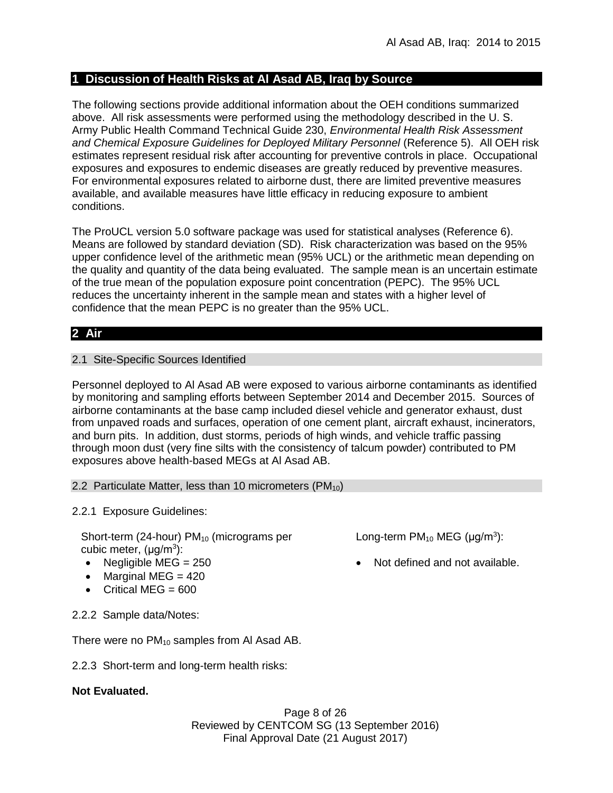# **1 Discussion of Health Risks at Al Asad AB, Iraq by Source**

The following sections provide additional information about the OEH conditions summarized above. All risk assessments were performed using the methodology described in the U. S. Army Public Health Command Technical Guide 230, *Environmental Health Risk Assessment and Chemical Exposure Guidelines for Deployed Military Personnel* (Reference 5). All OEH risk estimates represent residual risk after accounting for preventive controls in place. Occupational exposures and exposures to endemic diseases are greatly reduced by preventive measures. For environmental exposures related to airborne dust, there are limited preventive measures available, and available measures have little efficacy in reducing exposure to ambient conditions.

The ProUCL version 5.0 software package was used for statistical analyses (Reference 6). Means are followed by standard deviation (SD). Risk characterization was based on the 95% upper confidence level of the arithmetic mean (95% UCL) or the arithmetic mean depending on the quality and quantity of the data being evaluated. The sample mean is an uncertain estimate of the true mean of the population exposure point concentration (PEPC). The 95% UCL reduces the uncertainty inherent in the sample mean and states with a higher level of confidence that the mean PEPC is no greater than the 95% UCL.

# **2 Air**

# 2.1 Site-Specific Sources Identified

Personnel deployed to Al Asad AB were exposed to various airborne contaminants as identified by monitoring and sampling efforts between September 2014 and December 2015. Sources of airborne contaminants at the base camp included diesel vehicle and generator exhaust, dust from unpaved roads and surfaces, operation of one cement plant, aircraft exhaust, incinerators, and burn pits. In addition, dust storms, periods of high winds, and vehicle traffic passing through moon dust (very fine silts with the consistency of talcum powder) contributed to PM exposures above health-based MEGs at Al Asad AB.

2.2 Particulate Matter, less than 10 micrometers (PM<sub>10</sub>)

2.2.1 Exposure Guidelines:

Short-term (24-hour)  $PM_{10}$  (micrograms per cubic meter, (μg/m<sup>3</sup>):

- 
- $\bullet$  Marginal MEG = 420
- $\bullet$  Critical MEG = 600

2.2.2 Sample data/Notes:

There were no  $PM_{10}$  samples from AI Asad AB.

2.2.3 Short-term and long-term health risks:

# **Not Evaluated.**

Page 8 of 26 Reviewed by CENTCOM SG (13 September 2016) Final Approval Date (21 August 2017)

Long-term  $PM_{10}$  MEG ( $\mu$ g/m<sup>3</sup>):

• Negligible MEG = 250 **and 1** Not defined and not available.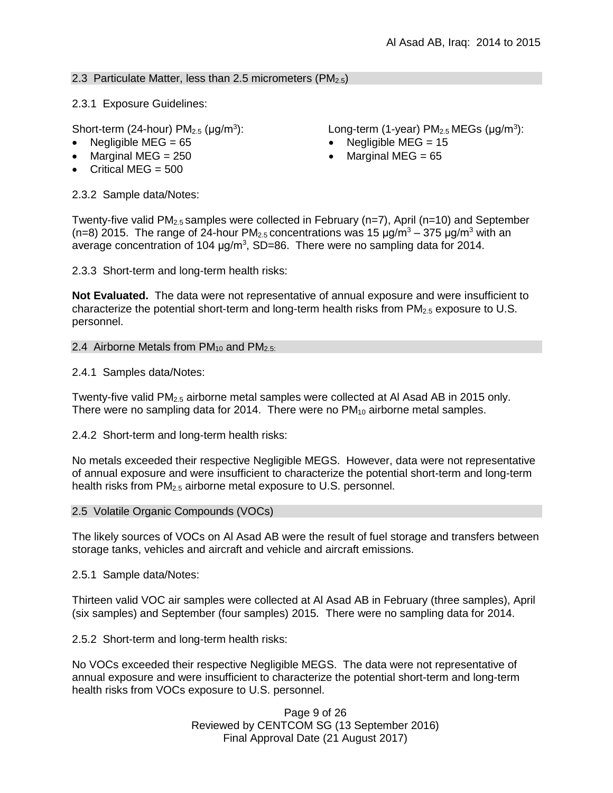# 2.3 Particulate Matter, less than 2.5 micrometers ( $PM<sub>2.5</sub>$ )

2.3.1 Exposure Guidelines:

Short-term (24-hour)  $PM<sub>2.5</sub>$  ( $\mu$ g/m<sup>3</sup>):

- Negligible MEG = 65 Negligible MEG = 15
- Marginal MEG =  $250$   $\bullet$  Marginal MEG =  $65$
- Critical MEG  $= 500$

): Long-term (1-year)  $PM_{2.5}$  MEGs ( $\mu$ g/m<sup>3</sup>):

- 
- 

2.3.2 Sample data/Notes:

Twenty-five valid PM<sub>2.5</sub> samples were collected in February (n=7), April (n=10) and September  $(n=8)$  2015. The range of 24-hour PM<sub>2.5</sub> concentrations was 15  $\mu q/m^3 - 375 \mu q/m^3$  with an average concentration of 104  $\mu$ g/m<sup>3</sup>, SD=86. There were no sampling data for 2014.

2.3.3 Short-term and long-term health risks:

**Not Evaluated.** The data were not representative of annual exposure and were insufficient to characterize the potential short-term and long-term health risks from  $PM_{2.5}$  exposure to U.S. personnel.

# 2.4 Airborne Metals from  $PM_{10}$  and  $PM_{2.5}$ .

2.4.1 Samples data/Notes:

Twenty-five valid PM2.5 airborne metal samples were collected at Al Asad AB in 2015 only. There were no sampling data for 2014. There were no  $PM_{10}$  airborne metal samples.

2.4.2 Short-term and long-term health risks:

No metals exceeded their respective Negligible MEGS. However, data were not representative of annual exposure and were insufficient to characterize the potential short-term and long-term health risks from PM<sub>2.5</sub> airborne metal exposure to U.S. personnel.

### 2.5 Volatile Organic Compounds (VOCs)

The likely sources of VOCs on Al Asad AB were the result of fuel storage and transfers between storage tanks, vehicles and aircraft and vehicle and aircraft emissions.

2.5.1 Sample data/Notes:

Thirteen valid VOC air samples were collected at Al Asad AB in February (three samples), April (six samples) and September (four samples) 2015*.* There were no sampling data for 2014.

2.5.2 Short-term and long-term health risks:

No VOCs exceeded their respective Negligible MEGS. The data were not representative of annual exposure and were insufficient to characterize the potential short-term and long-term health risks from VOCs exposure to U.S. personnel.

> Page 9 of 26 Reviewed by CENTCOM SG (13 September 2016) Final Approval Date (21 August 2017)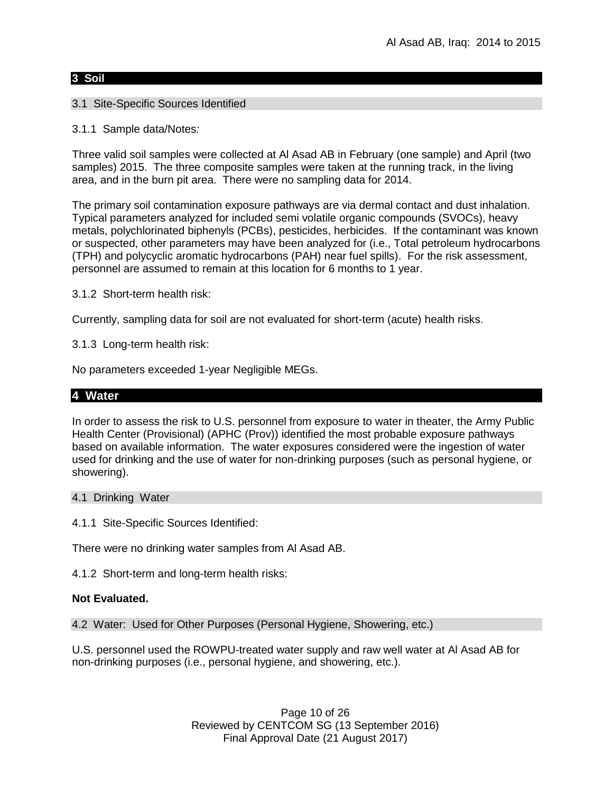### **3 Soil**

# 3.1 Site-Specific Sources Identified

3.1.1 Sample data/Notes*:*

Three valid soil samples were collected at Al Asad AB in February (one sample) and April (two samples) 2015. The three composite samples were taken at the running track, in the living area, and in the burn pit area. There were no sampling data for 2014.

The primary soil contamination exposure pathways are via dermal contact and dust inhalation. Typical parameters analyzed for included semi volatile organic compounds (SVOCs), heavy metals, polychlorinated biphenyls (PCBs), pesticides, herbicides. If the contaminant was known or suspected, other parameters may have been analyzed for (i.e., Total petroleum hydrocarbons (TPH) and polycyclic aromatic hydrocarbons (PAH) near fuel spills). For the risk assessment, personnel are assumed to remain at this location for 6 months to 1 year.

3.1.2 Short-term health risk:

Currently, sampling data for soil are not evaluated for short-term (acute) health risks.

3.1.3Long-term health risk:

No parameters exceeded 1-year Negligible MEGs.

# **4 Water**

In order to assess the risk to U.S. personnel from exposure to water in theater, the Army Public Health Center (Provisional) (APHC (Prov)) identified the most probable exposure pathways based on available information. The water exposures considered were the ingestion of water used for drinking and the use of water for non-drinking purposes (such as personal hygiene, or showering).

### 4.1 Drinking Water

4.1.1 Site-Specific Sources Identified:

There were no drinking water samples from Al Asad AB.

4.1.2 Short-term and long-term health risks:

### **Not Evaluated.**

4.2 Water: Used for Other Purposes (Personal Hygiene, Showering, etc.)

U.S. personnel used the ROWPU-treated water supply and raw well water at Al Asad AB for non-drinking purposes (i.e., personal hygiene, and showering, etc.).

> Page 10 of 26 Reviewed by CENTCOM SG (13 September 2016) Final Approval Date (21 August 2017)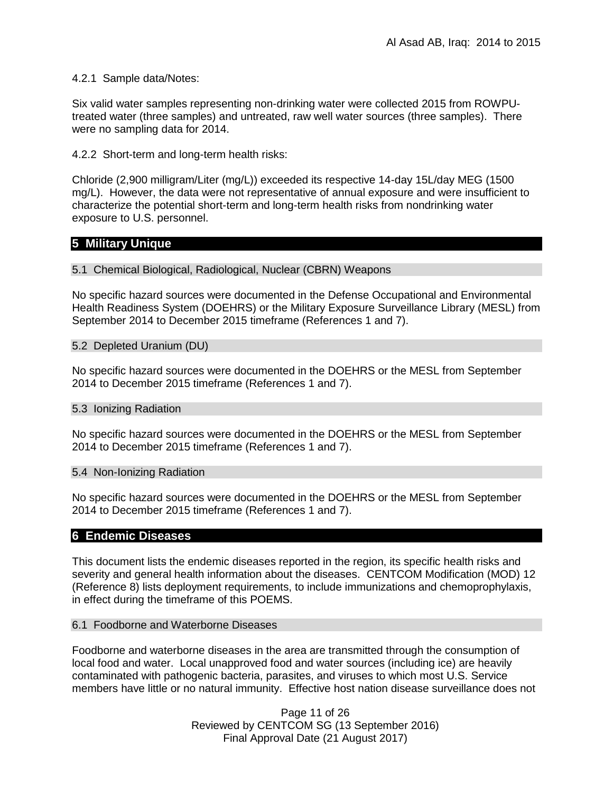#### 4.2.1 Sample data/Notes:

Six valid water samples representing non-drinking water were collected 2015 from ROWPUtreated water (three samples) and untreated, raw well water sources (three samples). There were no sampling data for 2014.

4.2.2 Short-term and long-term health risks:

Chloride (2,900 milligram/Liter (mg/L)) exceeded its respective 14-day 15L/day MEG (1500 mg/L). However, the data were not representative of annual exposure and were insufficient to characterize the potential short-term and long-term health risks from nondrinking water exposure to U.S. personnel.

# **5 Military Unique**

5.1 Chemical Biological, Radiological, Nuclear (CBRN) Weapons

No specific hazard sources were documented in the Defense Occupational and Environmental Health Readiness System (DOEHRS) or the Military Exposure Surveillance Library (MESL) from September 2014 to December 2015 timeframe (References 1 and 7).

#### 5.2 Depleted Uranium (DU)

No specific hazard sources were documented in the DOEHRS or the MESL from September 2014 to December 2015 timeframe (References 1 and 7).

#### 5.3 Ionizing Radiation

No specific hazard sources were documented in the DOEHRS or the MESL from September 2014 to December 2015 timeframe (References 1 and 7).

#### 5.4 Non-Ionizing Radiation

No specific hazard sources were documented in the DOEHRS or the MESL from September 2014 to December 2015 timeframe (References 1 and 7).

### **6 Endemic Diseases**

This document lists the endemic diseases reported in the region, its specific health risks and severity and general health information about the diseases. CENTCOM Modification (MOD) 12 (Reference 8) lists deployment requirements, to include immunizations and chemoprophylaxis, in effect during the timeframe of this POEMS.

#### 6.1 Foodborne and Waterborne Diseases

Foodborne and waterborne diseases in the area are transmitted through the consumption of local food and water. Local unapproved food and water sources (including ice) are heavily contaminated with pathogenic bacteria, parasites, and viruses to which most U.S. Service members have little or no natural immunity. Effective host nation disease surveillance does not

> Page 11 of 26 Reviewed by CENTCOM SG (13 September 2016) Final Approval Date (21 August 2017)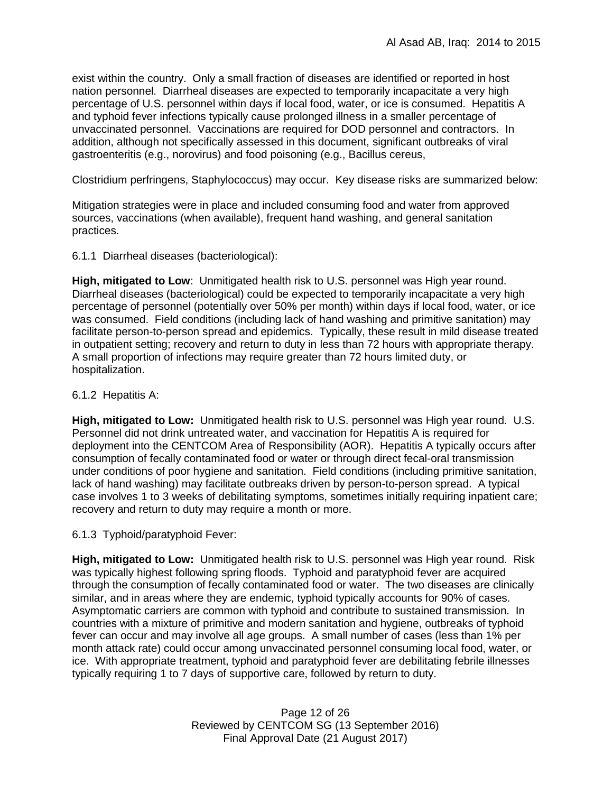exist within the country. Only a small fraction of diseases are identified or reported in host nation personnel. Diarrheal diseases are expected to temporarily incapacitate a very high percentage of U.S. personnel within days if local food, water, or ice is consumed. Hepatitis A and typhoid fever infections typically cause prolonged illness in a smaller percentage of unvaccinated personnel. Vaccinations are required for DOD personnel and contractors. In addition, although not specifically assessed in this document, significant outbreaks of viral gastroenteritis (e.g., norovirus) and food poisoning (e.g., Bacillus cereus,

Clostridium perfringens, Staphylococcus) may occur. Key disease risks are summarized below:

Mitigation strategies were in place and included consuming food and water from approved sources, vaccinations (when available), frequent hand washing, and general sanitation practices.

### 6.1.1 Diarrheal diseases (bacteriological):

**High, mitigated to Low**: Unmitigated health risk to U.S. personnel was High year round. Diarrheal diseases (bacteriological) could be expected to temporarily incapacitate a very high percentage of personnel (potentially over 50% per month) within days if local food, water, or ice was consumed. Field conditions (including lack of hand washing and primitive sanitation) may facilitate person-to-person spread and epidemics. Typically, these result in mild disease treated in outpatient setting; recovery and return to duty in less than 72 hours with appropriate therapy. A small proportion of infections may require greater than 72 hours limited duty, or hospitalization.

#### 6.1.2 Hepatitis A:

**High, mitigated to Low:** Unmitigated health risk to U.S. personnel was High year round. U.S. Personnel did not drink untreated water, and vaccination for Hepatitis A is required for deployment into the CENTCOM Area of Responsibility (AOR). Hepatitis A typically occurs after consumption of fecally contaminated food or water or through direct fecal-oral transmission under conditions of poor hygiene and sanitation. Field conditions (including primitive sanitation, lack of hand washing) may facilitate outbreaks driven by person-to-person spread. A typical case involves 1 to 3 weeks of debilitating symptoms, sometimes initially requiring inpatient care; recovery and return to duty may require a month or more.

### 6.1.3 Typhoid/paratyphoid Fever:

**High, mitigated to Low:** Unmitigated health risk to U.S. personnel was High year round. Risk was typically highest following spring floods. Typhoid and paratyphoid fever are acquired through the consumption of fecally contaminated food or water. The two diseases are clinically similar, and in areas where they are endemic, typhoid typically accounts for 90% of cases. Asymptomatic carriers are common with typhoid and contribute to sustained transmission. In countries with a mixture of primitive and modern sanitation and hygiene, outbreaks of typhoid fever can occur and may involve all age groups. A small number of cases (less than 1% per month attack rate) could occur among unvaccinated personnel consuming local food, water, or ice. With appropriate treatment, typhoid and paratyphoid fever are debilitating febrile illnesses typically requiring 1 to 7 days of supportive care, followed by return to duty.

> Page 12 of 26 Reviewed by CENTCOM SG (13 September 2016) Final Approval Date (21 August 2017)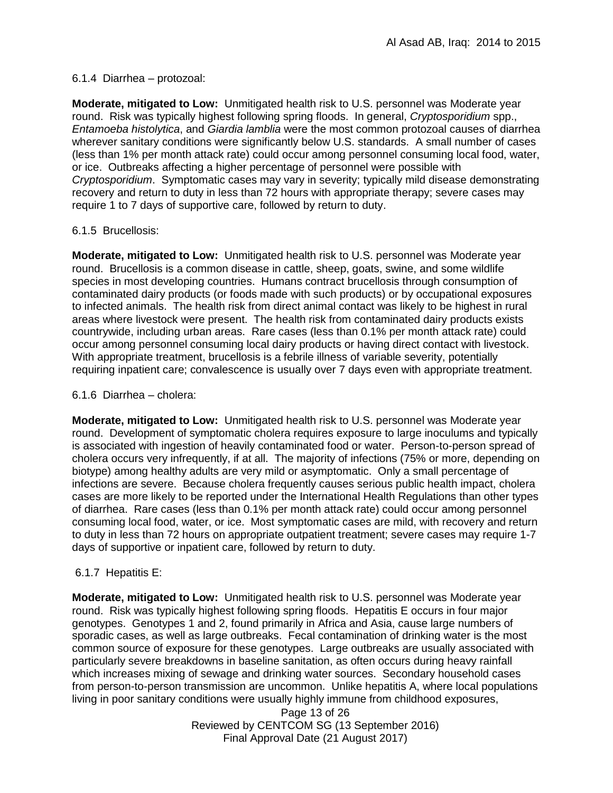# 6.1.4 Diarrhea – protozoal:

**Moderate, mitigated to Low:** Unmitigated health risk to U.S. personnel was Moderate year round. Risk was typically highest following spring floods. In general, *Cryptosporidium* spp., *Entamoeba histolytica*, and *Giardia lamblia* were the most common protozoal causes of diarrhea wherever sanitary conditions were significantly below U.S. standards. A small number of cases (less than 1% per month attack rate) could occur among personnel consuming local food, water, or ice. Outbreaks affecting a higher percentage of personnel were possible with *Cryptosporidium*. Symptomatic cases may vary in severity; typically mild disease demonstrating recovery and return to duty in less than 72 hours with appropriate therapy; severe cases may require 1 to 7 days of supportive care, followed by return to duty.

# 6.1.5 Brucellosis:

**Moderate, mitigated to Low:** Unmitigated health risk to U.S. personnel was Moderate year round. Brucellosis is a common disease in cattle, sheep, goats, swine, and some wildlife species in most developing countries. Humans contract brucellosis through consumption of contaminated dairy products (or foods made with such products) or by occupational exposures to infected animals. The health risk from direct animal contact was likely to be highest in rural areas where livestock were present. The health risk from contaminated dairy products exists countrywide, including urban areas. Rare cases (less than 0.1% per month attack rate) could occur among personnel consuming local dairy products or having direct contact with livestock. With appropriate treatment, brucellosis is a febrile illness of variable severity, potentially requiring inpatient care; convalescence is usually over 7 days even with appropriate treatment.

# 6.1.6 Diarrhea – cholera:

**Moderate, mitigated to Low:** Unmitigated health risk to U.S. personnel was Moderate year round. Development of symptomatic cholera requires exposure to large inoculums and typically is associated with ingestion of heavily contaminated food or water. Person-to-person spread of cholera occurs very infrequently, if at all. The majority of infections (75% or more, depending on biotype) among healthy adults are very mild or asymptomatic. Only a small percentage of infections are severe. Because cholera frequently causes serious public health impact, cholera cases are more likely to be reported under the International Health Regulations than other types of diarrhea. Rare cases (less than 0.1% per month attack rate) could occur among personnel consuming local food, water, or ice. Most symptomatic cases are mild, with recovery and return to duty in less than 72 hours on appropriate outpatient treatment; severe cases may require 1-7 days of supportive or inpatient care, followed by return to duty.

# 6.1.7 Hepatitis E:

**Moderate, mitigated to Low:** Unmitigated health risk to U.S. personnel was Moderate year round. Risk was typically highest following spring floods. Hepatitis E occurs in four major genotypes. Genotypes 1 and 2, found primarily in Africa and Asia, cause large numbers of sporadic cases, as well as large outbreaks. Fecal contamination of drinking water is the most common source of exposure for these genotypes. Large outbreaks are usually associated with particularly severe breakdowns in baseline sanitation, as often occurs during heavy rainfall which increases mixing of sewage and drinking water sources. Secondary household cases from person-to-person transmission are uncommon. Unlike hepatitis A, where local populations living in poor sanitary conditions were usually highly immune from childhood exposures,

> Page 13 of 26 Reviewed by CENTCOM SG (13 September 2016) Final Approval Date (21 August 2017)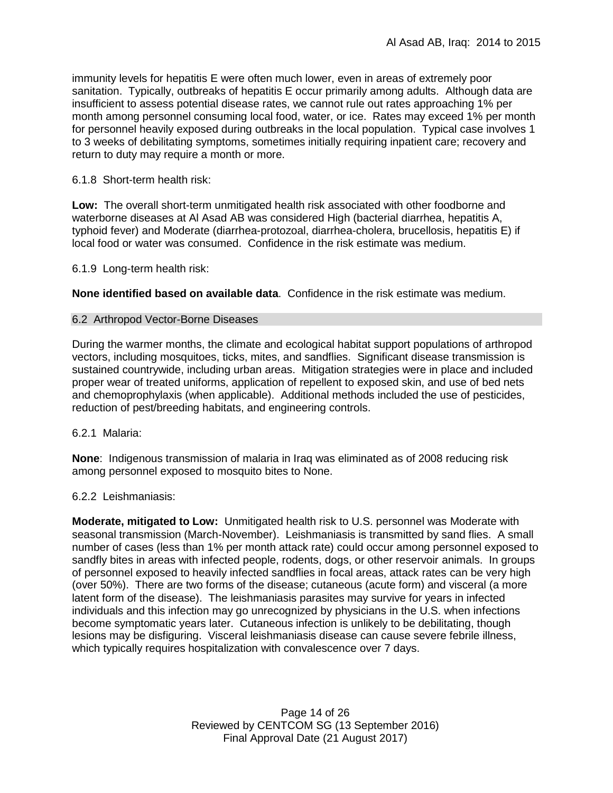immunity levels for hepatitis E were often much lower, even in areas of extremely poor sanitation. Typically, outbreaks of hepatitis E occur primarily among adults. Although data are insufficient to assess potential disease rates, we cannot rule out rates approaching 1% per month among personnel consuming local food, water, or ice. Rates may exceed 1% per month for personnel heavily exposed during outbreaks in the local population. Typical case involves 1 to 3 weeks of debilitating symptoms, sometimes initially requiring inpatient care; recovery and return to duty may require a month or more.

#### 6.1.8 Short-term health risk:

**Low:** The overall short-term unmitigated health risk associated with other foodborne and waterborne diseases at Al Asad AB was considered High (bacterial diarrhea, hepatitis A, typhoid fever) and Moderate (diarrhea-protozoal, diarrhea-cholera, brucellosis, hepatitis E) if local food or water was consumed. Confidence in the risk estimate was medium.

6.1.9 Long-term health risk:

**None identified based on available data**.Confidence in the risk estimate was medium.

#### 6.2 Arthropod Vector-Borne Diseases

During the warmer months, the climate and ecological habitat support populations of arthropod vectors, including mosquitoes, ticks, mites, and sandflies. Significant disease transmission is sustained countrywide, including urban areas. Mitigation strategies were in place and included proper wear of treated uniforms, application of repellent to exposed skin, and use of bed nets and chemoprophylaxis (when applicable). Additional methods included the use of pesticides, reduction of pest/breeding habitats, and engineering controls.

6.2.1 Malaria:

**None**: Indigenous transmission of malaria in Iraq was eliminated as of 2008 reducing risk among personnel exposed to mosquito bites to None.

6.2.2 Leishmaniasis:

**Moderate, mitigated to Low:** Unmitigated health risk to U.S. personnel was Moderate with seasonal transmission (March-November). Leishmaniasis is transmitted by sand flies. A small number of cases (less than 1% per month attack rate) could occur among personnel exposed to sandfly bites in areas with infected people, rodents, dogs, or other reservoir animals. In groups of personnel exposed to heavily infected sandflies in focal areas, attack rates can be very high (over 50%). There are two forms of the disease; cutaneous (acute form) and visceral (a more latent form of the disease). The leishmaniasis parasites may survive for years in infected individuals and this infection may go unrecognized by physicians in the U.S. when infections become symptomatic years later. Cutaneous infection is unlikely to be debilitating, though lesions may be disfiguring. Visceral leishmaniasis disease can cause severe febrile illness, which typically requires hospitalization with convalescence over 7 days.

> Page 14 of 26 Reviewed by CENTCOM SG (13 September 2016) Final Approval Date (21 August 2017)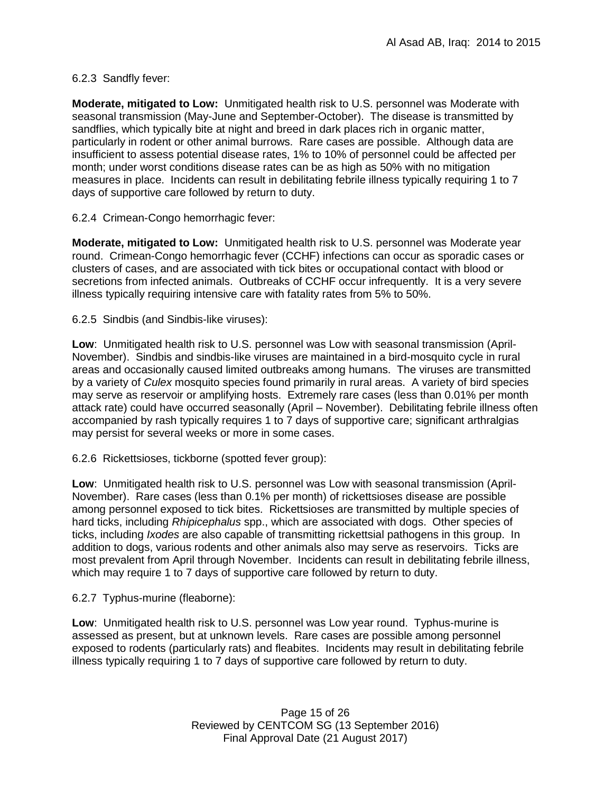# 6.2.3 Sandfly fever:

**Moderate, mitigated to Low:** Unmitigated health risk to U.S. personnel was Moderate with seasonal transmission (May-June and September-October). The disease is transmitted by sandflies, which typically bite at night and breed in dark places rich in organic matter, particularly in rodent or other animal burrows. Rare cases are possible. Although data are insufficient to assess potential disease rates, 1% to 10% of personnel could be affected per month; under worst conditions disease rates can be as high as 50% with no mitigation measures in place. Incidents can result in debilitating febrile illness typically requiring 1 to 7 days of supportive care followed by return to duty.

# 6.2.4 Crimean-Congo hemorrhagic fever:

**Moderate, mitigated to Low:** Unmitigated health risk to U.S. personnel was Moderate year round. Crimean-Congo hemorrhagic fever (CCHF) infections can occur as sporadic cases or clusters of cases, and are associated with tick bites or occupational contact with blood or secretions from infected animals. Outbreaks of CCHF occur infrequently. It is a very severe illness typically requiring intensive care with fatality rates from 5% to 50%.

6.2.5 Sindbis (and Sindbis-like viruses):

**Low**: Unmitigated health risk to U.S. personnel was Low with seasonal transmission (April-November). Sindbis and sindbis-like viruses are maintained in a bird-mosquito cycle in rural areas and occasionally caused limited outbreaks among humans. The viruses are transmitted by a variety of *Culex* mosquito species found primarily in rural areas. A variety of bird species may serve as reservoir or amplifying hosts. Extremely rare cases (less than 0.01% per month attack rate) could have occurred seasonally (April – November). Debilitating febrile illness often accompanied by rash typically requires 1 to 7 days of supportive care; significant arthralgias may persist for several weeks or more in some cases.

6.2.6 Rickettsioses, tickborne (spotted fever group):

**Low**: Unmitigated health risk to U.S. personnel was Low with seasonal transmission (April-November). Rare cases (less than 0.1% per month) of rickettsioses disease are possible among personnel exposed to tick bites. Rickettsioses are transmitted by multiple species of hard ticks, including *Rhipicephalus* spp., which are associated with dogs. Other species of ticks, including *Ixodes* are also capable of transmitting rickettsial pathogens in this group. In addition to dogs, various rodents and other animals also may serve as reservoirs. Ticks are most prevalent from April through November. Incidents can result in debilitating febrile illness, which may require 1 to 7 days of supportive care followed by return to duty.

6.2.7 Typhus-murine (fleaborne):

**Low**: Unmitigated health risk to U.S. personnel was Low year round. Typhus-murine is assessed as present, but at unknown levels. Rare cases are possible among personnel exposed to rodents (particularly rats) and fleabites. Incidents may result in debilitating febrile illness typically requiring 1 to 7 days of supportive care followed by return to duty.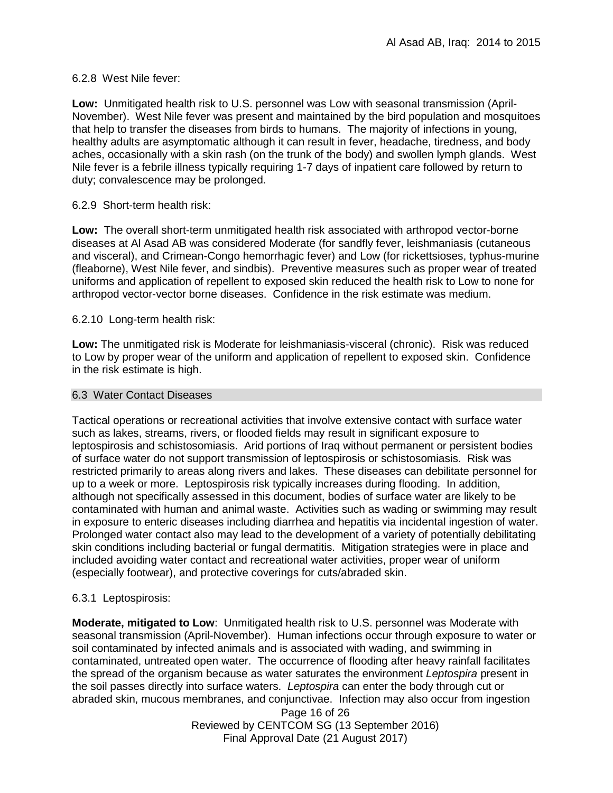# 6.2.8 West Nile fever:

**Low:** Unmitigated health risk to U.S. personnel was Low with seasonal transmission (April-November). West Nile fever was present and maintained by the bird population and mosquitoes that help to transfer the diseases from birds to humans. The majority of infections in young, healthy adults are asymptomatic although it can result in fever, headache, tiredness, and body aches, occasionally with a skin rash (on the trunk of the body) and swollen lymph glands. West Nile fever is a febrile illness typically requiring 1-7 days of inpatient care followed by return to duty; convalescence may be prolonged.

# 6.2.9 Short-term health risk:

**Low:** The overall short-term unmitigated health risk associated with arthropod vector-borne diseases at Al Asad AB was considered Moderate (for sandfly fever, leishmaniasis (cutaneous and visceral), and Crimean-Congo hemorrhagic fever) and Low (for rickettsioses, typhus-murine (fleaborne), West Nile fever, and sindbis). Preventive measures such as proper wear of treated uniforms and application of repellent to exposed skin reduced the health risk to Low to none for arthropod vector-vector borne diseases. Confidence in the risk estimate was medium.

6.2.10 Long-term health risk:

**Low:** The unmitigated risk is Moderate for leishmaniasis-visceral (chronic). Risk was reduced to Low by proper wear of the uniform and application of repellent to exposed skin. Confidence in the risk estimate is high.

### 6.3 Water Contact Diseases

Tactical operations or recreational activities that involve extensive contact with surface water such as lakes, streams, rivers, or flooded fields may result in significant exposure to leptospirosis and schistosomiasis. Arid portions of Iraq without permanent or persistent bodies of surface water do not support transmission of leptospirosis or schistosomiasis. Risk was restricted primarily to areas along rivers and lakes. These diseases can debilitate personnel for up to a week or more. Leptospirosis risk typically increases during flooding. In addition, although not specifically assessed in this document, bodies of surface water are likely to be contaminated with human and animal waste. Activities such as wading or swimming may result in exposure to enteric diseases including diarrhea and hepatitis via incidental ingestion of water. Prolonged water contact also may lead to the development of a variety of potentially debilitating skin conditions including bacterial or fungal dermatitis. Mitigation strategies were in place and included avoiding water contact and recreational water activities, proper wear of uniform (especially footwear), and protective coverings for cuts/abraded skin.

### 6.3.1 Leptospirosis:

**Moderate, mitigated to Low**: Unmitigated health risk to U.S. personnel was Moderate with seasonal transmission (April-November). Human infections occur through exposure to water or soil contaminated by infected animals and is associated with wading, and swimming in contaminated, untreated open water. The occurrence of flooding after heavy rainfall facilitates the spread of the organism because as water saturates the environment *Leptospira* present in the soil passes directly into surface waters. *Leptospira* can enter the body through cut or abraded skin, mucous membranes, and conjunctivae. Infection may also occur from ingestion

> Page 16 of 26 Reviewed by CENTCOM SG (13 September 2016) Final Approval Date (21 August 2017)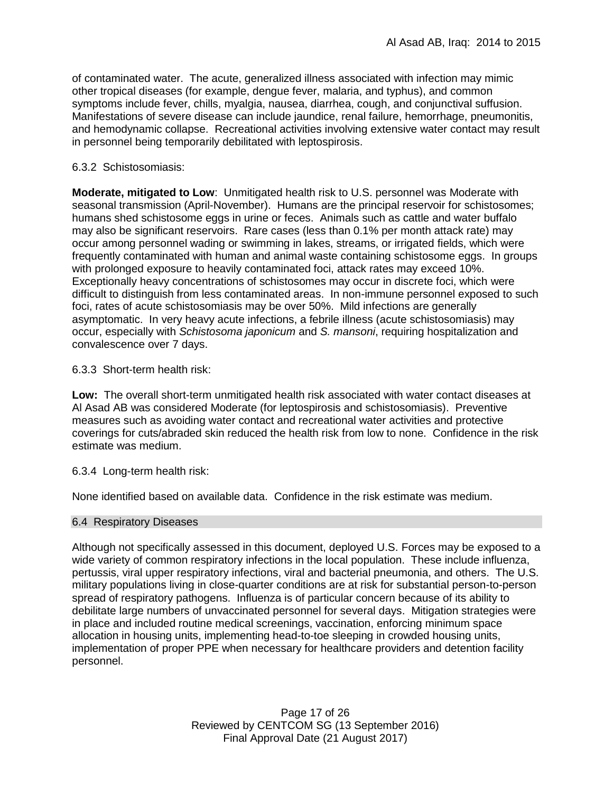of contaminated water. The acute, generalized illness associated with infection may mimic other tropical diseases (for example, dengue fever, malaria, and typhus), and common symptoms include fever, chills, myalgia, nausea, diarrhea, cough, and conjunctival suffusion. Manifestations of severe disease can include jaundice, renal failure, hemorrhage, pneumonitis, and hemodynamic collapse. Recreational activities involving extensive water contact may result in personnel being temporarily debilitated with leptospirosis.

# 6.3.2 Schistosomiasis:

**Moderate, mitigated to Low**: Unmitigated health risk to U.S. personnel was Moderate with seasonal transmission (April-November). Humans are the principal reservoir for schistosomes; humans shed schistosome eggs in urine or feces. Animals such as cattle and water buffalo may also be significant reservoirs. Rare cases (less than 0.1% per month attack rate) may occur among personnel wading or swimming in lakes, streams, or irrigated fields, which were frequently contaminated with human and animal waste containing schistosome eggs. In groups with prolonged exposure to heavily contaminated foci, attack rates may exceed 10%. Exceptionally heavy concentrations of schistosomes may occur in discrete foci, which were difficult to distinguish from less contaminated areas. In non-immune personnel exposed to such foci, rates of acute schistosomiasis may be over 50%. Mild infections are generally asymptomatic. In very heavy acute infections, a febrile illness (acute schistosomiasis) may occur, especially with *Schistosoma japonicum* and *S. mansoni*, requiring hospitalization and convalescence over 7 days.

6.3.3 Short-term health risk:

**Low:** The overall short-term unmitigated health risk associated with water contact diseases at Al Asad AB was considered Moderate (for leptospirosis and schistosomiasis). Preventive measures such as avoiding water contact and recreational water activities and protective coverings for cuts/abraded skin reduced the health risk from low to none. Confidence in the risk estimate was medium.

6.3.4 Long-term health risk:

None identified based on available data. Confidence in the risk estimate was medium.

### 6.4 Respiratory Diseases

Although not specifically assessed in this document, deployed U.S. Forces may be exposed to a wide variety of common respiratory infections in the local population. These include influenza, pertussis, viral upper respiratory infections, viral and bacterial pneumonia, and others. The U.S. military populations living in close-quarter conditions are at risk for substantial person-to-person spread of respiratory pathogens. Influenza is of particular concern because of its ability to debilitate large numbers of unvaccinated personnel for several days. Mitigation strategies were in place and included routine medical screenings, vaccination, enforcing minimum space allocation in housing units, implementing head-to-toe sleeping in crowded housing units, implementation of proper PPE when necessary for healthcare providers and detention facility personnel.

> Page 17 of 26 Reviewed by CENTCOM SG (13 September 2016) Final Approval Date (21 August 2017)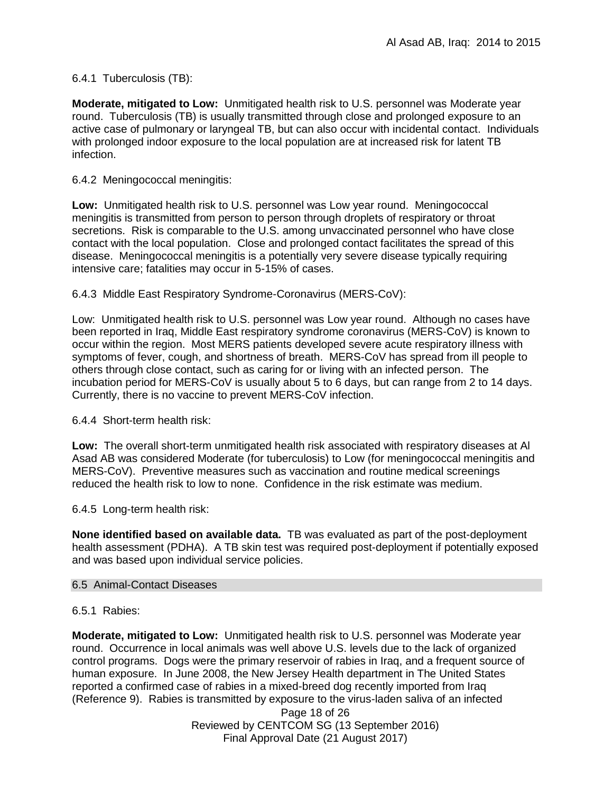# 6.4.1 Tuberculosis (TB):

**Moderate, mitigated to Low:** Unmitigated health risk to U.S. personnel was Moderate year round. Tuberculosis (TB) is usually transmitted through close and prolonged exposure to an active case of pulmonary or laryngeal TB, but can also occur with incidental contact. Individuals with prolonged indoor exposure to the local population are at increased risk for latent TB infection.

### 6.4.2 Meningococcal meningitis:

**Low:** Unmitigated health risk to U.S. personnel was Low year round. Meningococcal meningitis is transmitted from person to person through droplets of respiratory or throat secretions. Risk is comparable to the U.S. among unvaccinated personnel who have close contact with the local population. Close and prolonged contact facilitates the spread of this disease. Meningococcal meningitis is a potentially very severe disease typically requiring intensive care; fatalities may occur in 5-15% of cases.

### 6.4.3 Middle East Respiratory Syndrome-Coronavirus (MERS-CoV):

Low: Unmitigated health risk to U.S. personnel was Low year round. Although no cases have been reported in Iraq, Middle East respiratory syndrome coronavirus (MERS-CoV) is known to occur within the region. Most MERS patients developed severe acute respiratory illness with symptoms of fever, cough, and shortness of breath. MERS-CoV has spread from ill people to others through close contact, such as caring for or living with an infected person. The incubation period for MERS-CoV is usually about 5 to 6 days, but can range from 2 to 14 days. Currently, there is no vaccine to prevent MERS-CoV infection.

6.4.4 Short-term health risk:

**Low:** The overall short-term unmitigated health risk associated with respiratory diseases at Al Asad AB was considered Moderate (for tuberculosis) to Low (for meningococcal meningitis and MERS-CoV). Preventive measures such as vaccination and routine medical screenings reduced the health risk to low to none. Confidence in the risk estimate was medium.

6.4.5 Long-term health risk:

**None identified based on available data.** TB was evaluated as part of the post-deployment health assessment (PDHA). A TB skin test was required post-deployment if potentially exposed and was based upon individual service policies.

#### 6.5 Animal-Contact Diseases

#### 6.5.1 Rabies:

**Moderate, mitigated to Low:** Unmitigated health risk to U.S. personnel was Moderate year round. Occurrence in local animals was well above U.S. levels due to the lack of organized control programs. Dogs were the primary reservoir of rabies in Iraq, and a frequent source of human exposure. In June 2008, the New Jersey Health department in The United States reported a confirmed case of rabies in a mixed-breed dog recently imported from Iraq (Reference 9). Rabies is transmitted by exposure to the virus-laden saliva of an infected

> Page 18 of 26 Reviewed by CENTCOM SG (13 September 2016) Final Approval Date (21 August 2017)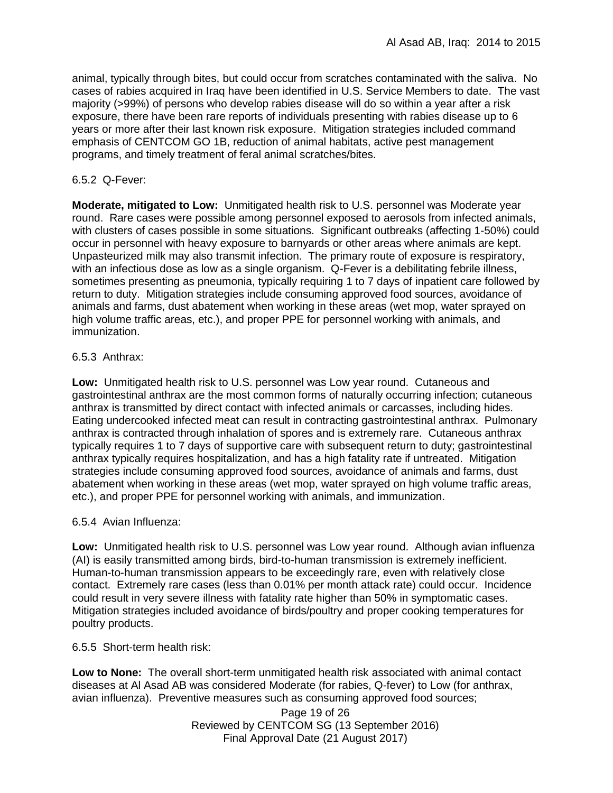animal, typically through bites, but could occur from scratches contaminated with the saliva. No cases of rabies acquired in Iraq have been identified in U.S. Service Members to date. The vast majority (>99%) of persons who develop rabies disease will do so within a year after a risk exposure, there have been rare reports of individuals presenting with rabies disease up to 6 years or more after their last known risk exposure. Mitigation strategies included command emphasis of CENTCOM GO 1B, reduction of animal habitats, active pest management programs, and timely treatment of feral animal scratches/bites.

## 6.5.2 Q-Fever:

**Moderate, mitigated to Low:** Unmitigated health risk to U.S. personnel was Moderate year round. Rare cases were possible among personnel exposed to aerosols from infected animals, with clusters of cases possible in some situations. Significant outbreaks (affecting 1-50%) could occur in personnel with heavy exposure to barnyards or other areas where animals are kept. Unpasteurized milk may also transmit infection. The primary route of exposure is respiratory, with an infectious dose as low as a single organism. Q-Fever is a debilitating febrile illness, sometimes presenting as pneumonia, typically requiring 1 to 7 days of inpatient care followed by return to duty. Mitigation strategies include consuming approved food sources, avoidance of animals and farms, dust abatement when working in these areas (wet mop, water sprayed on high volume traffic areas, etc.), and proper PPE for personnel working with animals, and immunization.

# 6.5.3 Anthrax:

**Low:** Unmitigated health risk to U.S. personnel was Low year round. Cutaneous and gastrointestinal anthrax are the most common forms of naturally occurring infection; cutaneous anthrax is transmitted by direct contact with infected animals or carcasses, including hides. Eating undercooked infected meat can result in contracting gastrointestinal anthrax. Pulmonary anthrax is contracted through inhalation of spores and is extremely rare. Cutaneous anthrax typically requires 1 to 7 days of supportive care with subsequent return to duty; gastrointestinal anthrax typically requires hospitalization, and has a high fatality rate if untreated. Mitigation strategies include consuming approved food sources, avoidance of animals and farms, dust abatement when working in these areas (wet mop, water sprayed on high volume traffic areas, etc.), and proper PPE for personnel working with animals, and immunization.

### 6.5.4 Avian Influenza:

**Low:** Unmitigated health risk to U.S. personnel was Low year round. Although avian influenza (AI) is easily transmitted among birds, bird-to-human transmission is extremely inefficient. Human-to-human transmission appears to be exceedingly rare, even with relatively close contact. Extremely rare cases (less than 0.01% per month attack rate) could occur. Incidence could result in very severe illness with fatality rate higher than 50% in symptomatic cases. Mitigation strategies included avoidance of birds/poultry and proper cooking temperatures for poultry products.

### 6.5.5 Short-term health risk:

**Low to None:** The overall short-term unmitigated health risk associated with animal contact diseases at Al Asad AB was considered Moderate (for rabies, Q-fever) to Low (for anthrax, avian influenza). Preventive measures such as consuming approved food sources;

> Page 19 of 26 Reviewed by CENTCOM SG (13 September 2016) Final Approval Date (21 August 2017)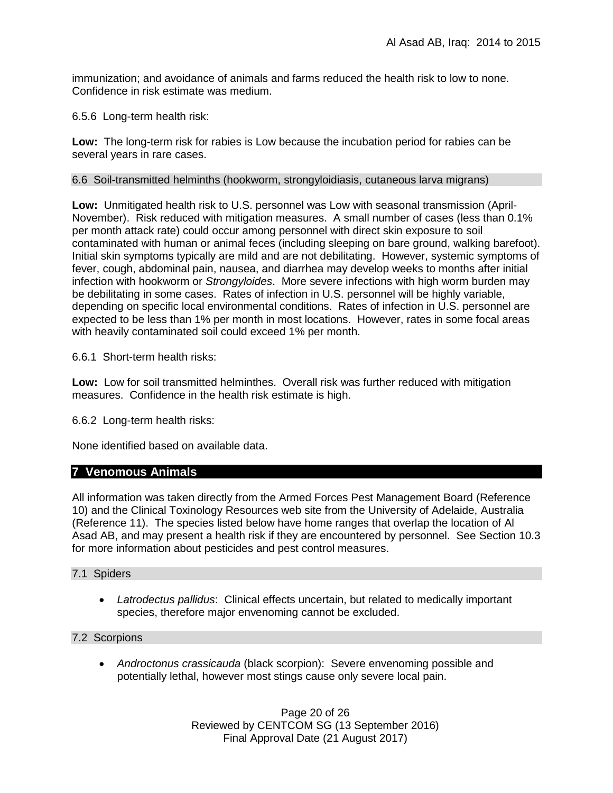immunization; and avoidance of animals and farms reduced the health risk to low to none. Confidence in risk estimate was medium.

6.5.6 Long-term health risk:

**Low:** The long-term risk for rabies is Low because the incubation period for rabies can be several years in rare cases.

## 6.6 Soil-transmitted helminths (hookworm, strongyloidiasis, cutaneous larva migrans)

**Low:** Unmitigated health risk to U.S. personnel was Low with seasonal transmission (April-November). Risk reduced with mitigation measures. A small number of cases (less than 0.1% per month attack rate) could occur among personnel with direct skin exposure to soil contaminated with human or animal feces (including sleeping on bare ground, walking barefoot). Initial skin symptoms typically are mild and are not debilitating. However, systemic symptoms of fever, cough, abdominal pain, nausea, and diarrhea may develop weeks to months after initial infection with hookworm or *Strongyloides*. More severe infections with high worm burden may be debilitating in some cases. Rates of infection in U.S. personnel will be highly variable, depending on specific local environmental conditions. Rates of infection in U.S. personnel are expected to be less than 1% per month in most locations. However, rates in some focal areas with heavily contaminated soil could exceed 1% per month.

6.6.1 Short-term health risks:

**Low:** Low for soil transmitted helminthes. Overall risk was further reduced with mitigation measures. Confidence in the health risk estimate is high.

6.6.2 Long-term health risks:

None identified based on available data.

# **7 Venomous Animals**

All information was taken directly from the Armed Forces Pest Management Board (Reference 10) and the Clinical Toxinology Resources web site from the University of Adelaide, Australia (Reference 11). The species listed below have home ranges that overlap the location of Al Asad AB, and may present a health risk if they are encountered by personnel. See Section 10.3 for more information about pesticides and pest control measures.

### 7.1 Spiders

 *Latrodectus pallidus*: Clinical effects uncertain, but related to medically important species, therefore major envenoming cannot be excluded.

# 7.2 Scorpions

 *Androctonus crassicauda* (black scorpion):Severe envenoming possible and potentially lethal, however most stings cause only severe local pain.

> Page 20 of 26 Reviewed by CENTCOM SG (13 September 2016) Final Approval Date (21 August 2017)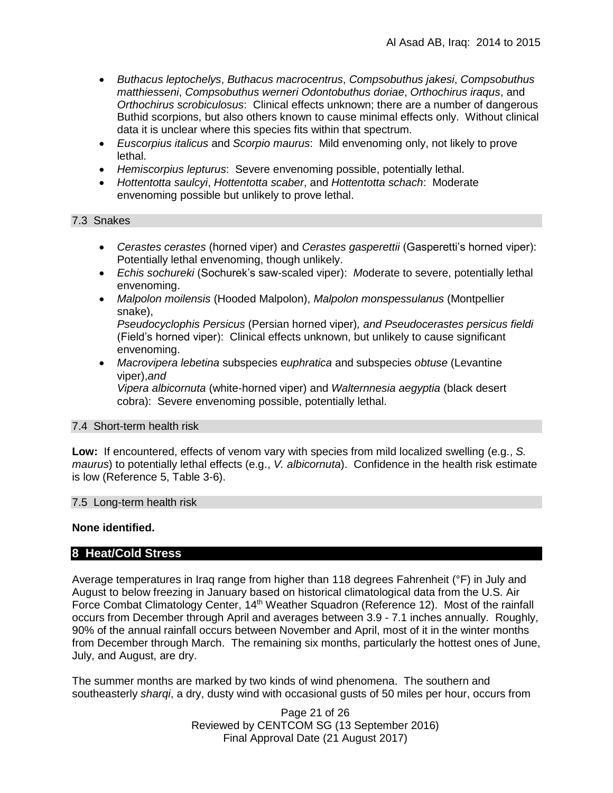- *Buthacus leptochelys*, *Buthacus macrocentrus*, *Compsobuthus jakesi*, *Compsobuthus matthiesseni*, *Compsobuthus werneri Odontobuthus doriae*, *Orthochirus iraqus*, and *Orthochirus scrobiculosus*: Clinical effects unknown; there are a number of dangerous Buthid scorpions, but also others known to cause minimal effects only. Without clinical data it is unclear where this species fits within that spectrum.
- *Euscorpius italicus* and *Scorpio maurus*: Mild envenoming only, not likely to prove lethal.
- *Hemiscorpius lepturus*: Severe envenoming possible, potentially lethal.
- *Hottentotta saulcyi*, *Hottentotta scaber*, and *Hottentotta schach*: Moderate envenoming possible but unlikely to prove lethal.

# 7.3 Snakes

- *Cerastes cerastes* (horned viper) and *Cerastes gasperettii* (Gasperetti's horned viper): Potentially lethal envenoming, though unlikely.
- *Echis sochureki* (Sochurek's saw-scaled viper): *M*oderate to severe, potentially lethal envenoming.
- *Malpolon moilensis* (Hooded Malpolon), *Malpolon monspessulanus* (Montpellier snake),

*Pseudocyclophis Persicus* (Persian horned viper)*, and Pseudocerastes persicus fieldi*  (Field's horned viper): Clinical effects unknown, but unlikely to cause significant envenoming.

 *Macrovipera lebetina* subspecies e*uphratica* and subspecies *obtuse* (Levantine viper),*and* 

*Vipera albicornuta* (white-horned viper) and *Walternnesia aegyptia* (black desert cobra): Severe envenoming possible, potentially lethal.

#### 7.4 Short-term health risk

**Low:** If encountered, effects of venom vary with species from mild localized swelling (e.g., *S. maurus*) to potentially lethal effects (e.g., *V. albicornuta*). Confidence in the health risk estimate is low (Reference 5, Table 3-6).

### 7.5Long-term health risk

### **None identified.**

### **8 Heat/Cold Stress**

Average temperatures in Iraq range from higher than 118 degrees Fahrenheit (°F) in July and August to below freezing in January based on historical climatological data from the U.S. Air Force Combat Climatology Center, 14<sup>th</sup> Weather Squadron (Reference 12). Most of the rainfall occurs from December through April and averages between 3.9 - 7.1 inches annually. Roughly, 90% of the annual rainfall occurs between November and April, most of it in the winter months from December through March. The remaining six months, particularly the hottest ones of June, July, and August, are dry.

The summer months are marked by two kinds of wind phenomena. The southern and southeasterly *sharqi*, a dry, dusty wind with occasional gusts of 50 miles per hour, occurs from

> Page 21 of 26 Reviewed by CENTCOM SG (13 September 2016) Final Approval Date (21 August 2017)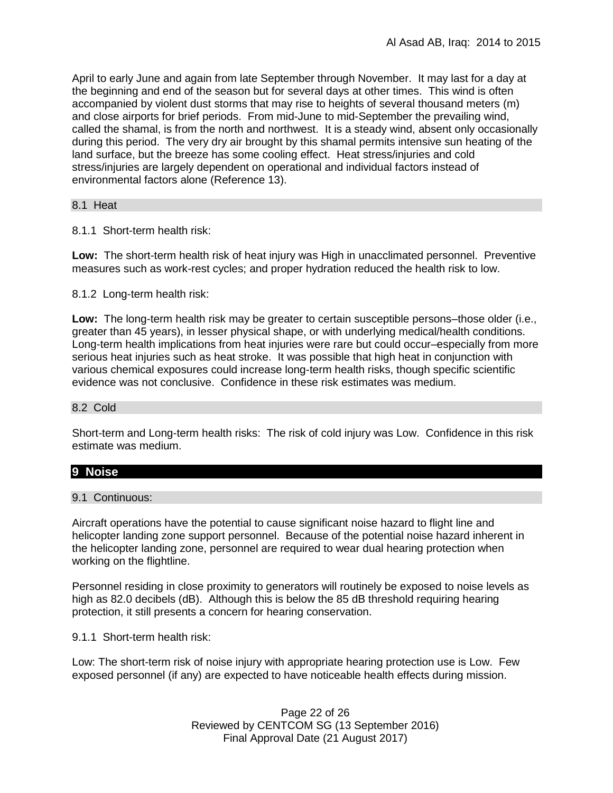April to early June and again from late September through November. It may last for a day at the beginning and end of the season but for several days at other times. This wind is often accompanied by violent dust storms that may rise to heights of several thousand meters (m) and close airports for brief periods. From mid-June to mid-September the prevailing wind, called the shamal, is from the north and northwest. It is a steady wind, absent only occasionally during this period. The very dry air brought by this shamal permits intensive sun heating of the land surface, but the breeze has some cooling effect. Heat stress/injuries and cold stress/injuries are largely dependent on operational and individual factors instead of environmental factors alone (Reference 13).

#### 8.1 Heat

8.1.1 Short-term health risk:

**Low:** The short-term health risk of heat injury was High in unacclimated personnel. Preventive measures such as work-rest cycles; and proper hydration reduced the health risk to low.

8.1.2 Long-term health risk:

**Low:** The long-term health risk may be greater to certain susceptible persons–those older (i.e., greater than 45 years), in lesser physical shape, or with underlying medical/health conditions. Long-term health implications from heat injuries were rare but could occur–especially from more serious heat injuries such as heat stroke.It was possible that high heat in conjunction with various chemical exposures could increase long-term health risks, though specific scientific evidence was not conclusive. Confidence in these risk estimates was medium.

#### 8.2 Cold

Short-term and Long-term health risks: The risk of cold injury was Low. Confidence in this risk estimate was medium.

# **9 Noise**

9.1 Continuous:

Aircraft operations have the potential to cause significant noise hazard to flight line and helicopter landing zone support personnel. Because of the potential noise hazard inherent in the helicopter landing zone, personnel are required to wear dual hearing protection when working on the flightline.

Personnel residing in close proximity to generators will routinely be exposed to noise levels as high as 82.0 decibels (dB). Although this is below the 85 dB threshold requiring hearing protection, it still presents a concern for hearing conservation.

9.1.1 Short-term health risk:

Low: The short-term risk of noise injury with appropriate hearing protection use is Low. Few exposed personnel (if any) are expected to have noticeable health effects during mission.

> Page 22 of 26 Reviewed by CENTCOM SG (13 September 2016) Final Approval Date (21 August 2017)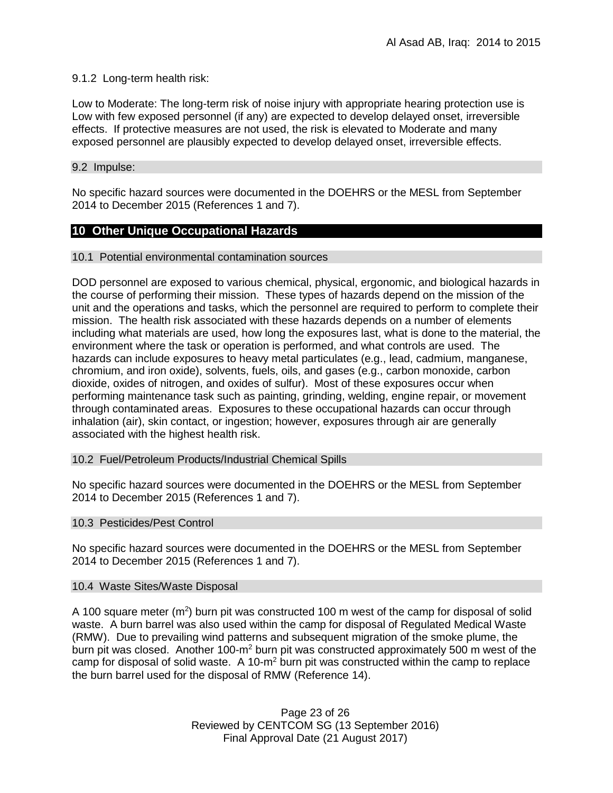## 9.1.2 Long-term health risk:

Low to Moderate: The long-term risk of noise injury with appropriate hearing protection use is Low with few exposed personnel (if any) are expected to develop delayed onset, irreversible effects. If protective measures are not used, the risk is elevated to Moderate and many exposed personnel are plausibly expected to develop delayed onset, irreversible effects.

## 9.2 Impulse:

No specific hazard sources were documented in the DOEHRS or the MESL from September 2014 to December 2015 (References 1 and 7).

# **10 Other Unique Occupational Hazards**

### 10.1 Potential environmental contamination sources

DOD personnel are exposed to various chemical, physical, ergonomic, and biological hazards in the course of performing their mission. These types of hazards depend on the mission of the unit and the operations and tasks, which the personnel are required to perform to complete their mission. The health risk associated with these hazards depends on a number of elements including what materials are used, how long the exposures last, what is done to the material, the environment where the task or operation is performed, and what controls are used. The hazards can include exposures to heavy metal particulates (e.g., lead, cadmium, manganese, chromium, and iron oxide), solvents, fuels, oils, and gases (e.g., carbon monoxide, carbon dioxide, oxides of nitrogen, and oxides of sulfur). Most of these exposures occur when performing maintenance task such as painting, grinding, welding, engine repair, or movement through contaminated areas. Exposures to these occupational hazards can occur through inhalation (air), skin contact, or ingestion; however, exposures through air are generally associated with the highest health risk.

### 10.2 Fuel/Petroleum Products/Industrial Chemical Spills

No specific hazard sources were documented in the DOEHRS or the MESL from September 2014 to December 2015 (References 1 and 7).

### 10.3 Pesticides/Pest Control

No specific hazard sources were documented in the DOEHRS or the MESL from September 2014 to December 2015 (References 1 and 7).

### 10.4 Waste Sites/Waste Disposal

A 100 square meter  $(m^2)$  burn pit was constructed 100 m west of the camp for disposal of solid waste. A burn barrel was also used within the camp for disposal of Regulated Medical Waste (RMW). Due to prevailing wind patterns and subsequent migration of the smoke plume, the burn pit was closed. Another 100-m<sup>2</sup> burn pit was constructed approximately 500 m west of the camp for disposal of solid waste. A 10-m<sup>2</sup> burn pit was constructed within the camp to replace the burn barrel used for the disposal of RMW (Reference 14).

> Page 23 of 26 Reviewed by CENTCOM SG (13 September 2016) Final Approval Date (21 August 2017)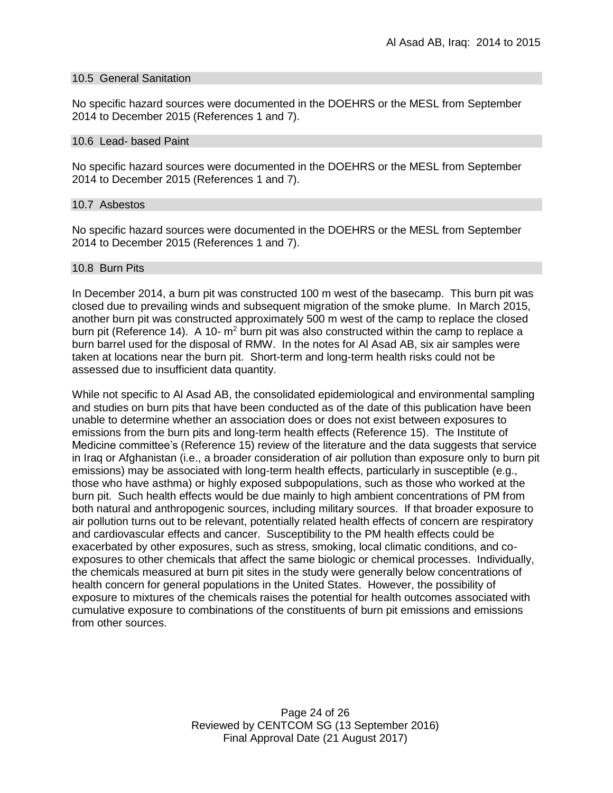#### 10.5 General Sanitation

No specific hazard sources were documented in the DOEHRS or the MESL from September 2014 to December 2015 (References 1 and 7).

#### 10.6 Lead- based Paint

No specific hazard sources were documented in the DOEHRS or the MESL from September 2014 to December 2015 (References 1 and 7).

#### 10.7 Asbestos

No specific hazard sources were documented in the DOEHRS or the MESL from September 2014 to December 2015 (References 1 and 7).

#### 10.8 Burn Pits

In December 2014, a burn pit was constructed 100 m west of the basecamp. This burn pit was closed due to prevailing winds and subsequent migration of the smoke plume. In March 2015, another burn pit was constructed approximately 500 m west of the camp to replace the closed burn pit (Reference 14). A 10-  $m^2$  burn pit was also constructed within the camp to replace a burn barrel used for the disposal of RMW. In the notes for Al Asad AB, six air samples were taken at locations near the burn pit. Short-term and long-term health risks could not be assessed due to insufficient data quantity.

While not specific to Al Asad AB, the consolidated epidemiological and environmental sampling and studies on burn pits that have been conducted as of the date of this publication have been unable to determine whether an association does or does not exist between exposures to emissions from the burn pits and long-term health effects (Reference 15). The Institute of Medicine committee's (Reference 15) review of the literature and the data suggests that service in Iraq or Afghanistan (i.e., a broader consideration of air pollution than exposure only to burn pit emissions) may be associated with long-term health effects, particularly in susceptible (e.g., those who have asthma) or highly exposed subpopulations, such as those who worked at the burn pit. Such health effects would be due mainly to high ambient concentrations of PM from both natural and anthropogenic sources, including military sources. If that broader exposure to air pollution turns out to be relevant, potentially related health effects of concern are respiratory and cardiovascular effects and cancer. Susceptibility to the PM health effects could be exacerbated by other exposures, such as stress, smoking, local climatic conditions, and coexposures to other chemicals that affect the same biologic or chemical processes. Individually, the chemicals measured at burn pit sites in the study were generally below concentrations of health concern for general populations in the United States. However, the possibility of exposure to mixtures of the chemicals raises the potential for health outcomes associated with cumulative exposure to combinations of the constituents of burn pit emissions and emissions from other sources.

> Page 24 of 26 Reviewed by CENTCOM SG (13 September 2016) Final Approval Date (21 August 2017)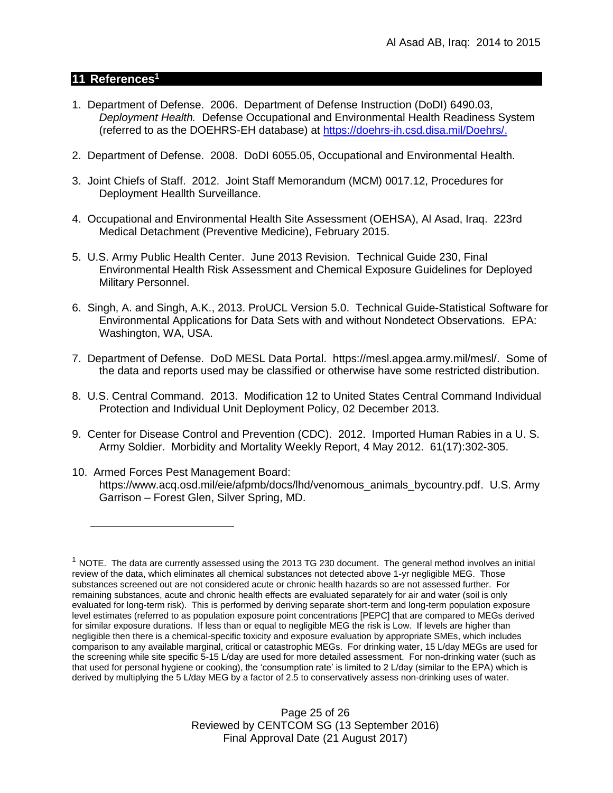## **11 References<sup>1</sup>**

- 1. Department of Defense. 2006. Department of Defense Instruction (DoDI) 6490.03, *Deployment Health.* Defense Occupational and Environmental Health Readiness System (referred to as the DOEHRS-EH database) at https://doehrs-ih.csd.disa.mil/Doehrs/.
- 2. Department of Defense. 2008. DoDI 6055.05, Occupational and Environmental Health.
- 3. Joint Chiefs of Staff. 2012. Joint Staff Memorandum (MCM) 0017.12, Procedures for Deployment Heallth Surveillance.
- 4. Occupational and Environmental Health Site Assessment (OEHSA), Al Asad, Iraq. 223rd Medical Detachment (Preventive Medicine), February 2015.
- 5. U.S. Army Public Health Center. June 2013 Revision. Technical Guide 230, Final Environmental Health Risk Assessment and Chemical Exposure Guidelines for Deployed Military Personnel.
- 6. Singh, A. and Singh, A.K., 2013. ProUCL Version 5.0. Technical Guide-Statistical Software for Environmental Applications for Data Sets with and without Nondetect Observations. EPA: Washington, WA, USA.
- 7. Department of Defense. DoD MESL Data Portal. [https://mesl.apgea.army.mil/mesl/.](https://mesl.apgea.army.mil/mesl/) Some of the data and reports used may be classified or otherwise have some restricted distribution.
- 8. U.S. Central Command. 2013. Modification 12 to United States Central Command Individual Protection and Individual Unit Deployment Policy, 02 December 2013.
- 9. Center for Disease Control and Prevention (CDC). 2012. Imported Human Rabies in a U. S. Army Soldier. Morbidity and Mortality Weekly Report, 4 May 2012. 61(17):302-305.
- 10. Armed Forces Pest Management Board: [https://www.acq.osd.mil/eie/afpmb/docs/lhd/venomous\\_animals\\_bycountry.pdf.](https://www.acq.osd.mil/eie/afpmb/docs/lhd/venomous_animals_bycountry.pdf) U.S. Army Garrison – Forest Glen, Silver Spring, MD.

Page 25 of 26 Reviewed by CENTCOM SG (13 September 2016) Final Approval Date (21 August 2017)

 $1$  NOTE. The data are currently assessed using the 2013 TG 230 document. The general method involves an initial review of the data, which eliminates all chemical substances not detected above 1-yr negligible MEG. Those substances screened out are not considered acute or chronic health hazards so are not assessed further. For remaining substances, acute and chronic health effects are evaluated separately for air and water (soil is only evaluated for long-term risk). This is performed by deriving separate short-term and long-term population exposure level estimates (referred to as population exposure point concentrations [PEPC] that are compared to MEGs derived for similar exposure durations. If less than or equal to negligible MEG the risk is Low. If levels are higher than negligible then there is a chemical-specific toxicity and exposure evaluation by appropriate SMEs, which includes comparison to any available marginal, critical or catastrophic MEGs. For drinking water, 15 L/day MEGs are used for the screening while site specific 5-15 L/day are used for more detailed assessment. For non-drinking water (such as that used for personal hygiene or cooking), the 'consumption rate' is limited to 2 L/day (similar to the EPA) which is derived by multiplying the 5 L/day MEG by a factor of 2.5 to conservatively assess non-drinking uses of water.